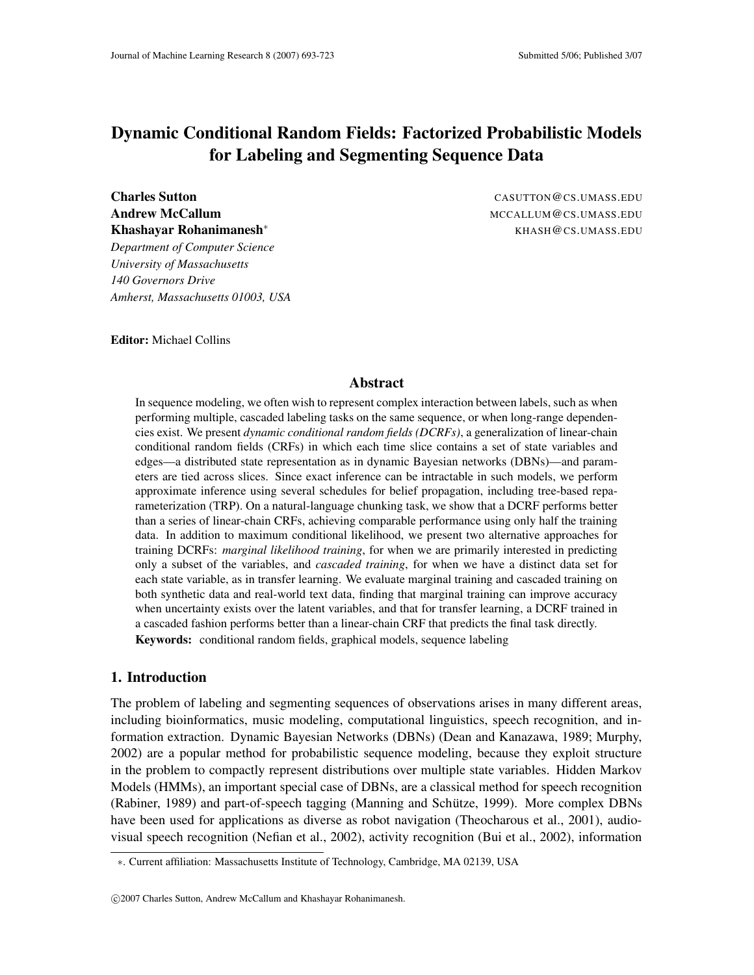# **Dynamic Conditional Random Fields: Factorized Probabilistic Models for Labeling and Segmenting Sequence Data**

**Andrew McCallum** MCCALLUM@CS.UMASS.EDU **Khashayar Rohanimanesh**<sup>∗</sup> KHASH@CS.UMASS.EDU

*Department of Computer Science University of Massachusetts 140 Governors Drive Amherst, Massachusetts 01003, USA*

**Charles Sutton** CASUTTON @CS.UMASS.EDU

**Editor:** Michael Collins

#### **Abstract**

In sequence modeling, we often wish to represent complex interaction between labels, such as when performing multiple, cascaded labeling tasks on the same sequence, or when long-range dependencies exist. We present *dynamic conditional random fields (DCRFs)*, a generalization of linear-chain conditional random fields (CRFs) in which each time slice contains a set of state variables and edges—a distributed state representation as in dynamic Bayesian networks (DBNs)—and parameters are tied across slices. Since exact inference can be intractable in such models, we perform approximate inference using several schedules for belief propagation, including tree-based reparameterization (TRP). On a natural-language chunking task, we show that a DCRF performs better than a series of linear-chain CRFs, achieving comparable performance using only half the training data. In addition to maximum conditional likelihood, we present two alternative approaches for training DCRFs: *marginal likelihood training*, for when we are primarily interested in predicting only a subset of the variables, and *cascaded training*, for when we have a distinct data set for each state variable, as in transfer learning. We evaluate marginal training and cascaded training on both synthetic data and real-world text data, finding that marginal training can improve accuracy when uncertainty exists over the latent variables, and that for transfer learning, a DCRF trained in a cascaded fashion performs better than a linear-chain CRF that predicts the final task directly. **Keywords:** conditional random fields, graphical models, sequence labeling

# **1. Introduction**

The problem of labeling and segmenting sequences of observations arises in many different areas, including bioinformatics, music modeling, computational linguistics, speech recognition, and information extraction. Dynamic Bayesian Networks (DBNs) (Dean and Kanazawa, 1989; Murphy, 2002) are a popular method for probabilistic sequence modeling, because they exploit structure in the problem to compactly represent distributions over multiple state variables. Hidden Markov Models (HMMs), an important special case of DBNs, are a classical method for speech recognition (Rabiner, 1989) and part-of-speech tagging (Manning and Schütze, 1999). More complex DBNs have been used for applications as diverse as robot navigation (Theocharous et al., 2001), audiovisual speech recognition (Nefian et al., 2002), activity recognition (Bui et al., 2002), information

<sup>∗</sup>. Current affiliation: Massachusetts Institute of Technology, Cambridge, MA 02139, USA

c 2007 Charles Sutton, Andrew McCallum and Khashayar Rohanimanesh.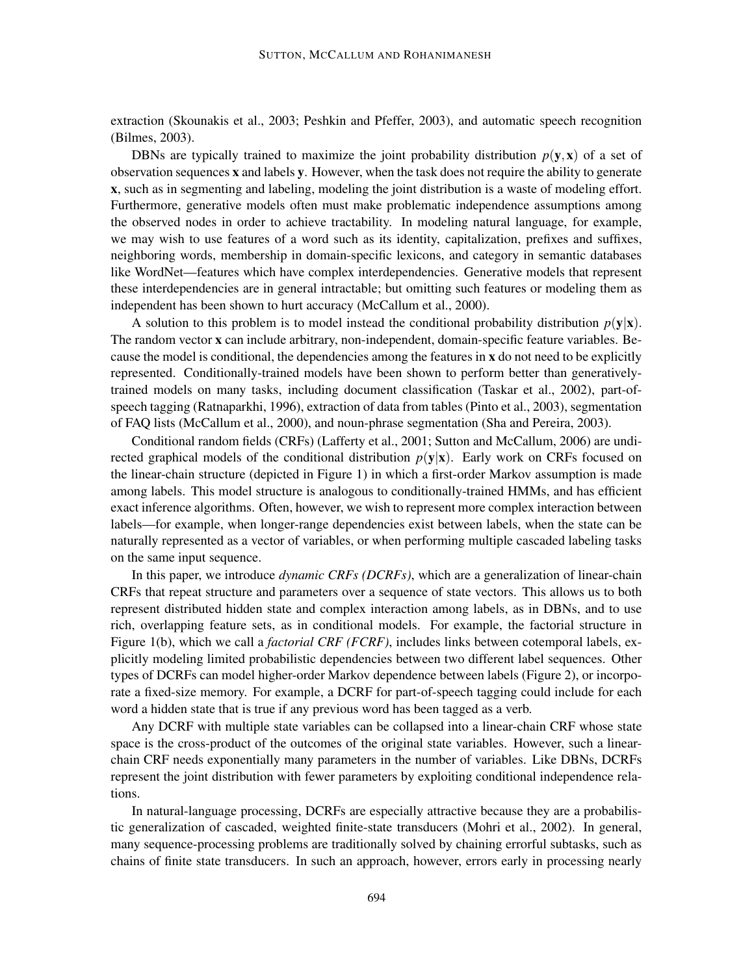extraction (Skounakis et al., 2003; Peshkin and Pfeffer, 2003), and automatic speech recognition (Bilmes, 2003).

DBNs are typically trained to maximize the joint probability distribution  $p(\mathbf{y},\mathbf{x})$  of a set of observation sequences **x** and labels **y**. However, when the task does not require the ability to generate **x**, such as in segmenting and labeling, modeling the joint distribution is a waste of modeling effort. Furthermore, generative models often must make problematic independence assumptions among the observed nodes in order to achieve tractability. In modeling natural language, for example, we may wish to use features of a word such as its identity, capitalization, prefixes and suffixes, neighboring words, membership in domain-specific lexicons, and category in semantic databases like WordNet—features which have complex interdependencies. Generative models that represent these interdependencies are in general intractable; but omitting such features or modeling them as independent has been shown to hurt accuracy (McCallum et al., 2000).

A solution to this problem is to model instead the conditional probability distribution  $p(y|x)$ . The random vector **x** can include arbitrary, non-independent, domain-specific feature variables. Because the model is conditional, the dependencies among the features in **x** do not need to be explicitly represented. Conditionally-trained models have been shown to perform better than generativelytrained models on many tasks, including document classification (Taskar et al., 2002), part-ofspeech tagging (Ratnaparkhi, 1996), extraction of data from tables (Pinto et al., 2003), segmentation of FAQ lists (McCallum et al., 2000), and noun-phrase segmentation (Sha and Pereira, 2003).

Conditional random fields (CRFs) (Lafferty et al., 2001; Sutton and McCallum, 2006) are undirected graphical models of the conditional distribution  $p(\mathbf{v}|\mathbf{x})$ . Early work on CRFs focused on the linear-chain structure (depicted in Figure 1) in which a first-order Markov assumption is made among labels. This model structure is analogous to conditionally-trained HMMs, and has efficient exact inference algorithms. Often, however, we wish to represent more complex interaction between labels—for example, when longer-range dependencies exist between labels, when the state can be naturally represented as a vector of variables, or when performing multiple cascaded labeling tasks on the same input sequence.

In this paper, we introduce *dynamic CRFs (DCRFs)*, which are a generalization of linear-chain CRFs that repeat structure and parameters over a sequence of state vectors. This allows us to both represent distributed hidden state and complex interaction among labels, as in DBNs, and to use rich, overlapping feature sets, as in conditional models. For example, the factorial structure in Figure 1(b), which we call a *factorial CRF (FCRF)*, includes links between cotemporal labels, explicitly modeling limited probabilistic dependencies between two different label sequences. Other types of DCRFs can model higher-order Markov dependence between labels (Figure 2), or incorporate a fixed-size memory. For example, a DCRF for part-of-speech tagging could include for each word a hidden state that is true if any previous word has been tagged as a verb.

Any DCRF with multiple state variables can be collapsed into a linear-chain CRF whose state space is the cross-product of the outcomes of the original state variables. However, such a linearchain CRF needs exponentially many parameters in the number of variables. Like DBNs, DCRFs represent the joint distribution with fewer parameters by exploiting conditional independence relations.

In natural-language processing, DCRFs are especially attractive because they are a probabilistic generalization of cascaded, weighted finite-state transducers (Mohri et al., 2002). In general, many sequence-processing problems are traditionally solved by chaining errorful subtasks, such as chains of finite state transducers. In such an approach, however, errors early in processing nearly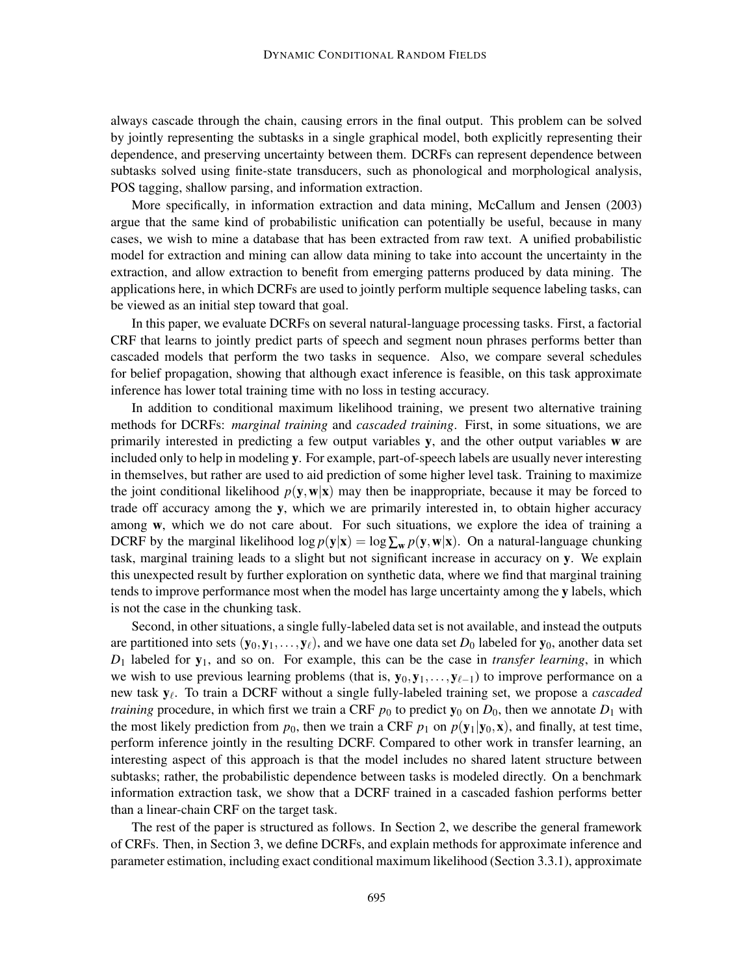always cascade through the chain, causing errors in the final output. This problem can be solved by jointly representing the subtasks in a single graphical model, both explicitly representing their dependence, and preserving uncertainty between them. DCRFs can represent dependence between subtasks solved using finite-state transducers, such as phonological and morphological analysis, POS tagging, shallow parsing, and information extraction.

More specifically, in information extraction and data mining, McCallum and Jensen (2003) argue that the same kind of probabilistic unification can potentially be useful, because in many cases, we wish to mine a database that has been extracted from raw text. A unified probabilistic model for extraction and mining can allow data mining to take into account the uncertainty in the extraction, and allow extraction to benefit from emerging patterns produced by data mining. The applications here, in which DCRFs are used to jointly perform multiple sequence labeling tasks, can be viewed as an initial step toward that goal.

In this paper, we evaluate DCRFs on several natural-language processing tasks. First, a factorial CRF that learns to jointly predict parts of speech and segment noun phrases performs better than cascaded models that perform the two tasks in sequence. Also, we compare several schedules for belief propagation, showing that although exact inference is feasible, on this task approximate inference has lower total training time with no loss in testing accuracy.

In addition to conditional maximum likelihood training, we present two alternative training methods for DCRFs: *marginal training* and *cascaded training*. First, in some situations, we are primarily interested in predicting a few output variables **y**, and the other output variables **w** are included only to help in modeling **y**. For example, part-of-speech labels are usually never interesting in themselves, but rather are used to aid prediction of some higher level task. Training to maximize the joint conditional likelihood  $p(\mathbf{y}, \mathbf{w}|\mathbf{x})$  may then be inappropriate, because it may be forced to trade off accuracy among the **y**, which we are primarily interested in, to obtain higher accuracy among **w**, which we do not care about. For such situations, we explore the idea of training a DCRF by the marginal likelihood  $\log p(\mathbf{y}|\mathbf{x}) = \log \sum_{\mathbf{w}} p(\mathbf{y}, \mathbf{w}|\mathbf{x})$ . On a natural-language chunking task, marginal training leads to a slight but not significant increase in accuracy on **y**. We explain this unexpected result by further exploration on synthetic data, where we find that marginal training tends to improve performance most when the model has large uncertainty among the **y** labels, which is not the case in the chunking task.

Second, in other situations, a single fully-labeled data set is not available, and instead the outputs are partitioned into sets  $(\mathbf{y}_0, \mathbf{y}_1, \dots, \mathbf{y}_\ell)$ , and we have one data set  $D_0$  labeled for  $\mathbf{y}_0$ , another data set *D*<sup>1</sup> labeled for **y**1, and so on. For example, this can be the case in *transfer learning*, in which we wish to use previous learning problems (that is, **y**<sub>0</sub>, **y**<sub>1</sub>, . . . , **y**<sub>ℓ−1</sub>) to improve performance on a new task **y**<sup>ℓ</sup> . To train a DCRF without a single fully-labeled training set, we propose a *cascaded training* procedure, in which first we train a CRF  $p_0$  to predict  $y_0$  on  $D_0$ , then we annotate  $D_1$  with the most likely prediction from  $p_0$ , then we train a CRF  $p_1$  on  $p(y_1|y_0, x)$ , and finally, at test time, perform inference jointly in the resulting DCRF. Compared to other work in transfer learning, an interesting aspect of this approach is that the model includes no shared latent structure between subtasks; rather, the probabilistic dependence between tasks is modeled directly. On a benchmark information extraction task, we show that a DCRF trained in a cascaded fashion performs better than a linear-chain CRF on the target task.

The rest of the paper is structured as follows. In Section 2, we describe the general framework of CRFs. Then, in Section 3, we define DCRFs, and explain methods for approximate inference and parameter estimation, including exact conditional maximum likelihood (Section 3.3.1), approximate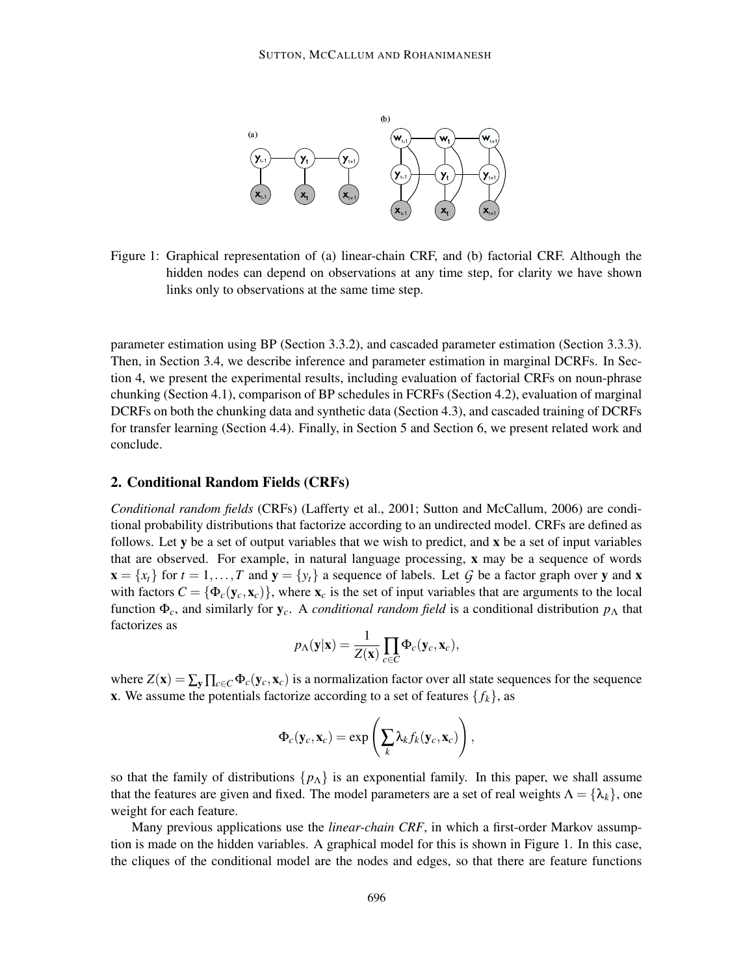

Figure 1: Graphical representation of (a) linear-chain CRF, and (b) factorial CRF. Although the hidden nodes can depend on observations at any time step, for clarity we have shown links only to observations at the same time step.

parameter estimation using BP (Section 3.3.2), and cascaded parameter estimation (Section 3.3.3). Then, in Section 3.4, we describe inference and parameter estimation in marginal DCRFs. In Section 4, we present the experimental results, including evaluation of factorial CRFs on noun-phrase chunking (Section 4.1), comparison of BP schedules in FCRFs (Section 4.2), evaluation of marginal DCRFs on both the chunking data and synthetic data (Section 4.3), and cascaded training of DCRFs for transfer learning (Section 4.4). Finally, in Section 5 and Section 6, we present related work and conclude.

# **2. Conditional Random Fields (CRFs)**

*Conditional random fields* (CRFs) (Lafferty et al., 2001; Sutton and McCallum, 2006) are conditional probability distributions that factorize according to an undirected model. CRFs are defined as follows. Let **y** be a set of output variables that we wish to predict, and **x** be a set of input variables that are observed. For example, in natural language processing, **x** may be a sequence of words  $\mathbf{x} = \{x_t\}$  for  $t = 1, \ldots, T$  and  $\mathbf{y} = \{y_t\}$  a sequence of labels. Let *G* be a factor graph over **y** and **x** with factors  $C = {\Phi_c(\mathbf{y}_c, \mathbf{x}_c)}$ , where  $\mathbf{x}_c$  is the set of input variables that are arguments to the local function  $\Phi_c$ , and similarly for  $\mathbf{y}_c$ . A *conditional random field* is a conditional distribution  $p_\Lambda$  that factorizes as

$$
p_{\Lambda}(\mathbf{y}|\mathbf{x}) = \frac{1}{Z(\mathbf{x})} \prod_{c \in C} \Phi_c(\mathbf{y}_c, \mathbf{x}_c),
$$

where  $Z(\mathbf{x}) = \sum_{\mathbf{v}} \prod_{c \in C} \Phi_c(\mathbf{y}_c, \mathbf{x}_c)$  is a normalization factor over all state sequences for the sequence **x**. We assume the potentials factorize according to a set of features  $\{f_k\}$ , as

$$
\Phi_c(\mathbf{y}_c,\mathbf{x}_c)=\exp\left(\sum_k \lambda_k f_k(\mathbf{y}_c,\mathbf{x}_c)\right),\,
$$

so that the family of distributions  $\{p_{\Lambda}\}\$ is an exponential family. In this paper, we shall assume that the features are given and fixed. The model parameters are a set of real weights  $\Lambda = {\lambda_k}$ , one weight for each feature.

Many previous applications use the *linear-chain CRF*, in which a first-order Markov assumption is made on the hidden variables. A graphical model for this is shown in Figure 1. In this case, the cliques of the conditional model are the nodes and edges, so that there are feature functions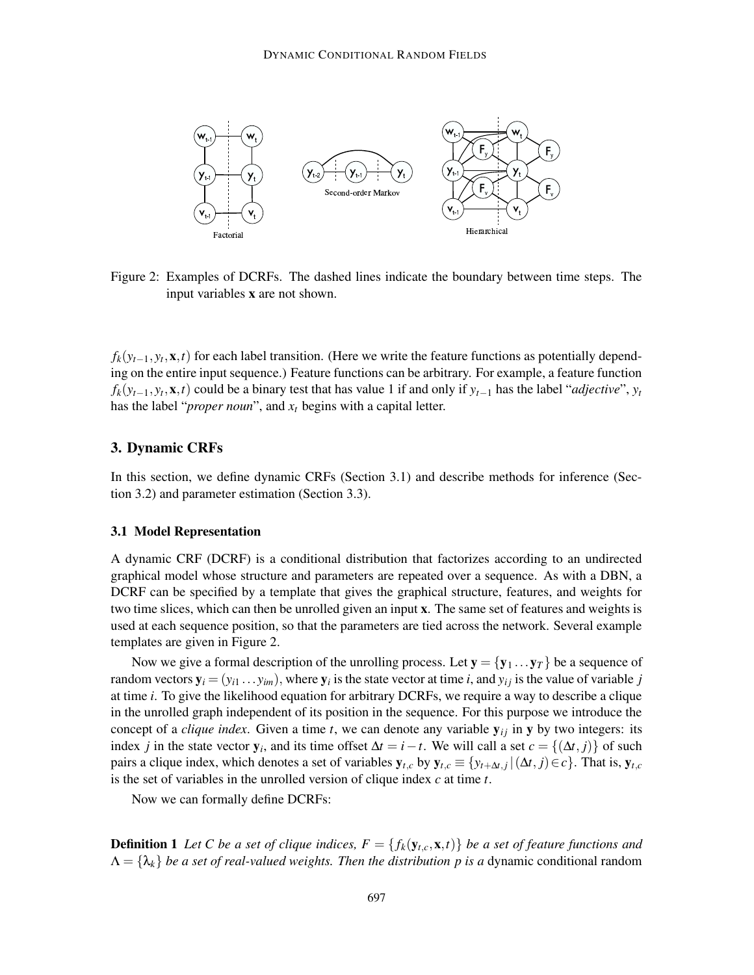

Figure 2: Examples of DCRFs. The dashed lines indicate the boundary between time steps. The input variables **x** are not shown.

 $f_k(y_{t-1}, y_t, \mathbf{x}, t)$  for each label transition. (Here we write the feature functions as potentially depending on the entire input sequence.) Feature functions can be arbitrary. For example, a feature function  $f_k(y_{t-1}, y_t, \mathbf{x}, t)$  could be a binary test that has value 1 if and only if  $y_{t-1}$  has the label "*adjective*",  $y_t$ has the label "*proper noun*", and *x<sup>t</sup>* begins with a capital letter.

# **3. Dynamic CRFs**

In this section, we define dynamic CRFs (Section 3.1) and describe methods for inference (Section 3.2) and parameter estimation (Section 3.3).

#### **3.1 Model Representation**

A dynamic CRF (DCRF) is a conditional distribution that factorizes according to an undirected graphical model whose structure and parameters are repeated over a sequence. As with a DBN, a DCRF can be specified by a template that gives the graphical structure, features, and weights for two time slices, which can then be unrolled given an input **x**. The same set of features and weights is used at each sequence position, so that the parameters are tied across the network. Several example templates are given in Figure 2.

Now we give a formal description of the unrolling process. Let  $y = \{y_1 \dots y_T\}$  be a sequence of random vectors  $y_i = (y_{i1} \dots y_{im})$ , where  $y_i$  is the state vector at time *i*, and  $y_{ij}$  is the value of variable *j* at time *i*. To give the likelihood equation for arbitrary DCRFs, we require a way to describe a clique in the unrolled graph independent of its position in the sequence. For this purpose we introduce the concept of a *clique index*. Given a time *t*, we can denote any variable  $y_{ij}$  in  $y$  by two integers: its index *j* in the state vector  $y_i$ , and its time offset  $\Delta t = i - t$ . We will call a set  $c = \{(\Delta t, j)\}\$  of such pairs a clique index, which denotes a set of variables  $y_{t,c}$  by  $y_{t,c} \equiv \{y_{t+\Delta t,j} | (\Delta t, j) \in c\}$ . That is,  $y_{t,c}$ is the set of variables in the unrolled version of clique index *c* at time *t*.

Now we can formally define DCRFs:

**Definition 1** Let C be a set of clique indices,  $F = \{f_k(\mathbf{y}_{t,c}, \mathbf{x}, t)\}\$ be a set of feature functions and  $\Lambda = {\lambda_k}$  *be a set of real-valued weights. Then the distribution p is a dynamic conditional random*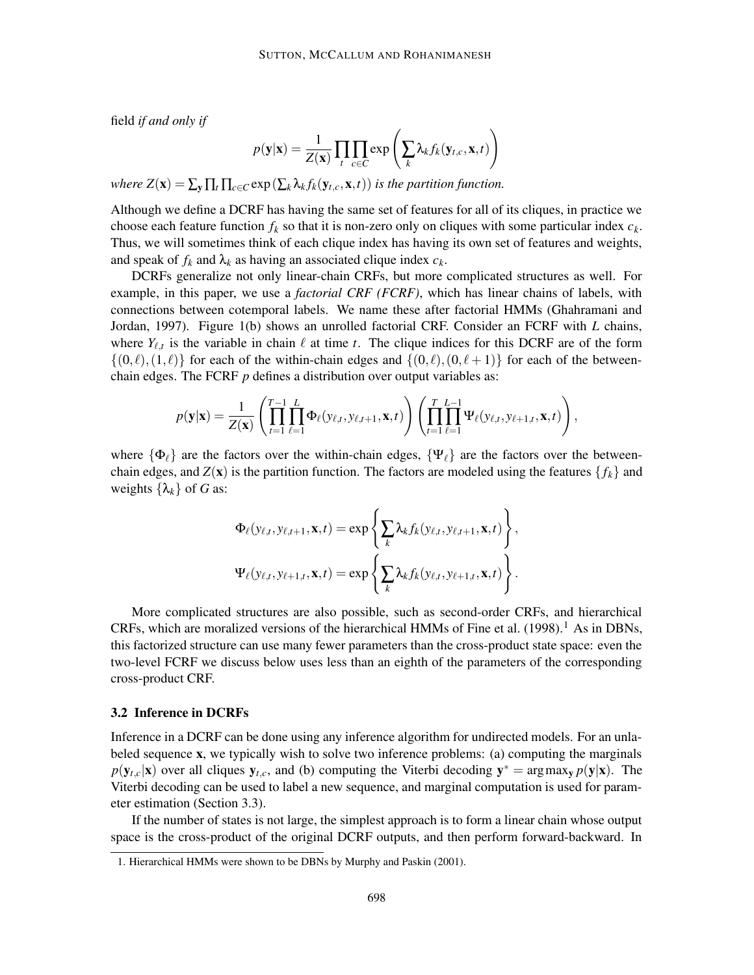field *if and only if*

$$
p(\mathbf{y}|\mathbf{x}) = \frac{1}{Z(\mathbf{x})} \prod_t \prod_{c \in C} \exp \left( \sum_k \lambda_k f_k(\mathbf{y}_{t,c}, \mathbf{x}, t) \right)
$$

*where*  $Z(\mathbf{x}) = \sum_{\mathbf{v}} \prod_t \prod_{c \in C} \exp(\sum_k \lambda_k f_k(\mathbf{y}_{t,c}, \mathbf{x}, t))$  *is the partition function.* 

Although we define a DCRF has having the same set of features for all of its cliques, in practice we choose each feature function  $f_k$  so that it is non-zero only on cliques with some particular index  $c_k$ . Thus, we will sometimes think of each clique index has having its own set of features and weights, and speak of  $f_k$  and  $\lambda_k$  as having an associated clique index  $c_k$ .

DCRFs generalize not only linear-chain CRFs, but more complicated structures as well. For example, in this paper, we use a *factorial CRF (FCRF)*, which has linear chains of labels, with connections between cotemporal labels. We name these after factorial HMMs (Ghahramani and Jordan, 1997). Figure 1(b) shows an unrolled factorial CRF. Consider an FCRF with *L* chains, where  $Y_{\ell,t}$  is the variable in chain  $\ell$  at time  $t$ . The clique indices for this DCRF are of the form  $\{(0,\ell),(1,\ell)\}\$  for each of the within-chain edges and  $\{(0,\ell),(0,\ell+1)\}\$  for each of the betweenchain edges. The FCRF *p* defines a distribution over output variables as:

$$
p(\mathbf{y}|\mathbf{x}) = \frac{1}{Z(\mathbf{x})} \left( \prod_{t=1}^{T-1} \prod_{\ell=1}^{L} \Phi_{\ell}(y_{\ell,t}, y_{\ell,t+1}, \mathbf{x}, t) \right) \left( \prod_{t=1}^{T} \prod_{\ell=1}^{L-1} \Psi_{\ell}(y_{\ell,t}, y_{\ell+1,t}, \mathbf{x}, t) \right),
$$

where  $\{\Phi_\ell\}$  are the factors over the within-chain edges,  $\{\Psi_\ell\}$  are the factors over the betweenchain edges, and  $Z(\mathbf{x})$  is the partition function. The factors are modeled using the features  $\{f_k\}$  and weights  $\{\lambda_k\}$  of *G* as:

$$
\Phi_{\ell}(y_{\ell,t}, y_{\ell,t+1}, \mathbf{x}, t) = \exp \left\{ \sum_{k} \lambda_{k} f_{k}(y_{\ell,t}, y_{\ell,t+1}, \mathbf{x}, t) \right\},
$$

$$
\Psi_{\ell}(y_{\ell,t}, y_{\ell+1,t}, \mathbf{x}, t) = \exp \left\{ \sum_{k} \lambda_{k} f_{k}(y_{\ell,t}, y_{\ell+1,t}, \mathbf{x}, t) \right\}.
$$

More complicated structures are also possible, such as second-order CRFs, and hierarchical CRFs, which are moralized versions of the hierarchical HMMs of Fine et al.  $(1998).$ <sup>1</sup> As in DBNs, this factorized structure can use many fewer parameters than the cross-product state space: even the two-level FCRF we discuss below uses less than an eighth of the parameters of the corresponding cross-product CRF.

## **3.2 Inference in DCRFs**

Inference in a DCRF can be done using any inference algorithm for undirected models. For an unlabeled sequence **x**, we typically wish to solve two inference problems: (a) computing the marginals  $p(\mathbf{y}_{t,c}|\mathbf{x})$  over all cliques  $\mathbf{y}_{t,c}$ , and (b) computing the Viterbi decoding  $\mathbf{y}^* = \arg \max_{\mathbf{y}} p(\mathbf{y}|\mathbf{x})$ . The Viterbi decoding can be used to label a new sequence, and marginal computation is used for parameter estimation (Section 3.3).

If the number of states is not large, the simplest approach is to form a linear chain whose output space is the cross-product of the original DCRF outputs, and then perform forward-backward. In

<sup>1.</sup> Hierarchical HMMs were shown to be DBNs by Murphy and Paskin (2001).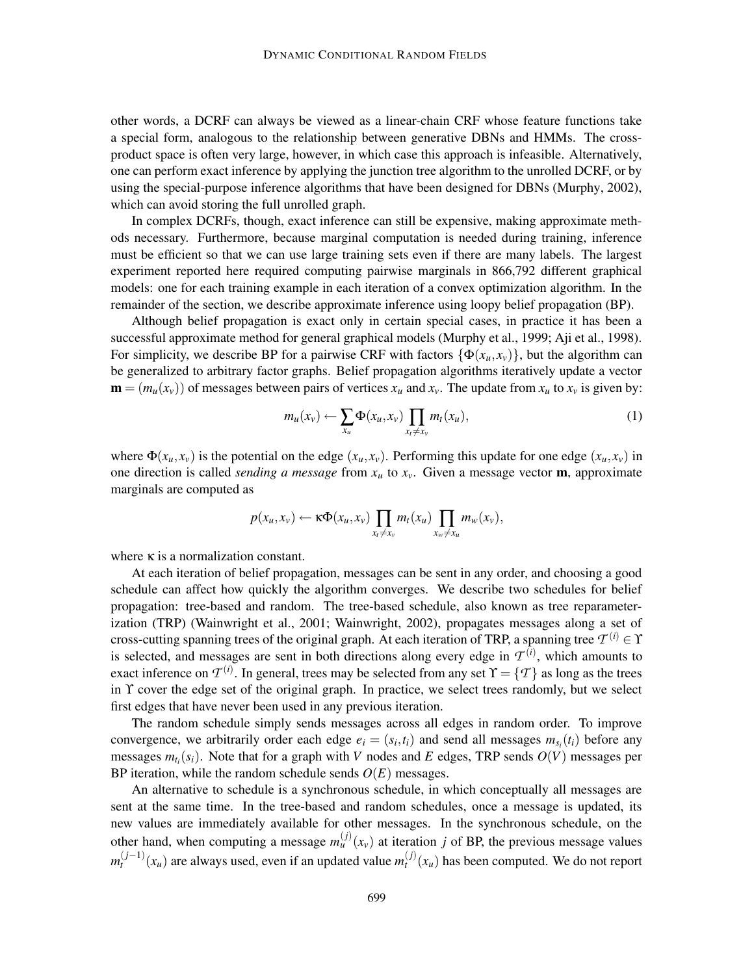other words, a DCRF can always be viewed as a linear-chain CRF whose feature functions take a special form, analogous to the relationship between generative DBNs and HMMs. The crossproduct space is often very large, however, in which case this approach is infeasible. Alternatively, one can perform exact inference by applying the junction tree algorithm to the unrolled DCRF, or by using the special-purpose inference algorithms that have been designed for DBNs (Murphy, 2002), which can avoid storing the full unrolled graph.

In complex DCRFs, though, exact inference can still be expensive, making approximate methods necessary. Furthermore, because marginal computation is needed during training, inference must be efficient so that we can use large training sets even if there are many labels. The largest experiment reported here required computing pairwise marginals in 866,792 different graphical models: one for each training example in each iteration of a convex optimization algorithm. In the remainder of the section, we describe approximate inference using loopy belief propagation (BP).

Although belief propagation is exact only in certain special cases, in practice it has been a successful approximate method for general graphical models (Murphy et al., 1999; Aji et al., 1998). For simplicity, we describe BP for a pairwise CRF with factors  $\{\Phi(x_u, x_v)\}\,$ , but the algorithm can be generalized to arbitrary factor graphs. Belief propagation algorithms iteratively update a vector  $\mathbf{m} = (m_u(x_v))$  of messages between pairs of vertices  $x_u$  and  $x_v$ . The update from  $x_u$  to  $x_v$  is given by:

$$
m_u(x_v) \leftarrow \sum_{x_u} \Phi(x_u, x_v) \prod_{x_t \neq x_v} m_t(x_u), \tag{1}
$$

where  $\Phi(x_u, x_v)$  is the potential on the edge  $(x_u, x_v)$ . Performing this update for one edge  $(x_u, x_v)$  in one direction is called *sending a message* from *x<sup>u</sup>* to *xv*. Given a message vector **m**, approximate marginals are computed as

$$
p(x_u,x_v) \leftarrow \kappa \Phi(x_u,x_v) \prod_{x_t \neq x_v} m_t(x_u) \prod_{x_w \neq x_u} m_w(x_v),
$$

where  $\kappa$  is a normalization constant.

At each iteration of belief propagation, messages can be sent in any order, and choosing a good schedule can affect how quickly the algorithm converges. We describe two schedules for belief propagation: tree-based and random. The tree-based schedule, also known as tree reparameterization (TRP) (Wainwright et al., 2001; Wainwright, 2002), propagates messages along a set of cross-cutting spanning trees of the original graph. At each iteration of TRP, a spanning tree  $\mathcal{T}^{(i)} \in \Upsilon$ is selected, and messages are sent in both directions along every edge in  $\mathcal{T}^{(i)}$ , which amounts to exact inference on  $\mathcal{T}^{(i)}$ . In general, trees may be selected from any set  $\Upsilon = \{ \mathcal{T} \}$  as long as the trees in Y cover the edge set of the original graph. In practice, we select trees randomly, but we select first edges that have never been used in any previous iteration.

The random schedule simply sends messages across all edges in random order. To improve convergence, we arbitrarily order each edge  $e_i = (s_i, t_i)$  and send all messages  $m_{s_i}(t_i)$  before any messages  $m_{t_i}(s_i)$ . Note that for a graph with *V* nodes and *E* edges, TRP sends  $O(V)$  messages per BP iteration, while the random schedule sends  $O(E)$  messages.

An alternative to schedule is a synchronous schedule, in which conceptually all messages are sent at the same time. In the tree-based and random schedules, once a message is updated, its new values are immediately available for other messages. In the synchronous schedule, on the other hand, when computing a message  $m_u^{(j)}(x_v)$  at iteration *j* of BP, the previous message values *m*<sup>(*j*−1)</sup>( $x_u$ ) are always used, even if an updated value  $m_t^{(j)}(x_u)$  has been computed. We do not report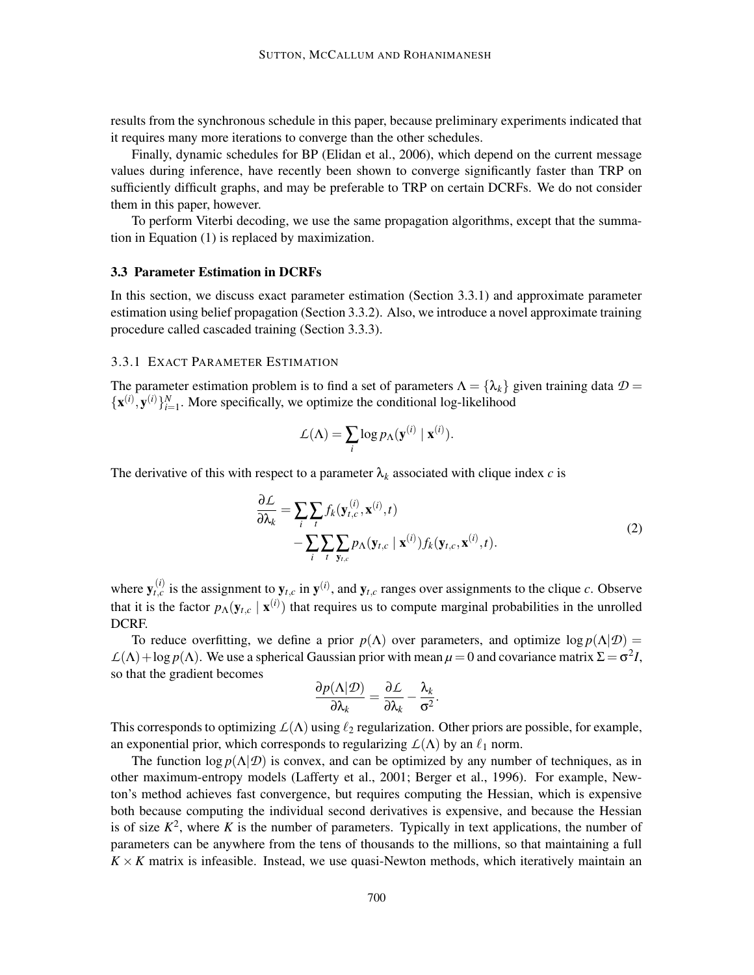results from the synchronous schedule in this paper, because preliminary experiments indicated that it requires many more iterations to converge than the other schedules.

Finally, dynamic schedules for BP (Elidan et al., 2006), which depend on the current message values during inference, have recently been shown to converge significantly faster than TRP on sufficiently difficult graphs, and may be preferable to TRP on certain DCRFs. We do not consider them in this paper, however.

To perform Viterbi decoding, we use the same propagation algorithms, except that the summation in Equation (1) is replaced by maximization.

## **3.3 Parameter Estimation in DCRFs**

In this section, we discuss exact parameter estimation (Section 3.3.1) and approximate parameter estimation using belief propagation (Section 3.3.2). Also, we introduce a novel approximate training procedure called cascaded training (Section 3.3.3).

## 3.3.1 EXACT PARAMETER ESTIMATION

The parameter estimation problem is to find a set of parameters  $\Lambda = {\lambda_k}$  given training data  $\mathcal{D} =$  $\{ {\bf x}^{(i)}, {\bf y}^{(i)} \}_{i=1}^N$ . More specifically, we optimize the conditional log-likelihood

$$
\mathcal{L}(\Lambda) = \sum_{i} \log p_{\Lambda}(\mathbf{y}^{(i)} | \mathbf{x}^{(i)}).
$$

The derivative of this with respect to a parameter  $\lambda_k$  associated with clique index *c* is

$$
\frac{\partial \mathcal{L}}{\partial \lambda_k} = \sum_i \sum_t f_k(\mathbf{y}_{t,c}^{(i)}, \mathbf{x}^{(i)}, t) - \sum_i \sum_t \sum_{\mathbf{y}_{t,c}} p_\Lambda(\mathbf{y}_{t,c} \mid \mathbf{x}^{(i)}) f_k(\mathbf{y}_{t,c}, \mathbf{x}^{(i)}, t).
$$
\n(2)

where  $y_{t,c}^{(i)}$  is the assignment to  $y_{t,c}$  in  $y^{(i)}$ , and  $y_{t,c}$  ranges over assignments to the clique *c*. Observe that it is the factor  $p_\Lambda(\mathbf{y}_{t,c} | \mathbf{x}^{(i)})$  that requires us to compute marginal probabilities in the unrolled DCRF.

To reduce overfitting, we define a prior  $p(\Lambda)$  over parameters, and optimize  $\log p(\Lambda|\mathcal{D}) =$  $\mathcal{L}(\Lambda)$  + log  $p(\Lambda)$ . We use a spherical Gaussian prior with mean  $\mu = 0$  and covariance matrix  $\Sigma = \sigma^2 I$ , so that the gradient becomes

$$
\frac{\partial p(\Lambda|\mathcal{D})}{\partial \lambda_k} = \frac{\partial \mathcal{L}}{\partial \lambda_k} - \frac{\lambda_k}{\sigma^2}.
$$

This corresponds to optimizing  $L(\Lambda)$  using  $\ell_2$  regularization. Other priors are possible, for example, an exponential prior, which corresponds to regularizing  $L(\Lambda)$  by an  $\ell_1$  norm.

The function  $\log p(\Lambda|\mathcal{D})$  is convex, and can be optimized by any number of techniques, as in other maximum-entropy models (Lafferty et al., 2001; Berger et al., 1996). For example, Newton's method achieves fast convergence, but requires computing the Hessian, which is expensive both because computing the individual second derivatives is expensive, and because the Hessian is of size  $K^2$ , where K is the number of parameters. Typically in text applications, the number of parameters can be anywhere from the tens of thousands to the millions, so that maintaining a full  $K \times K$  matrix is infeasible. Instead, we use quasi-Newton methods, which iteratively maintain an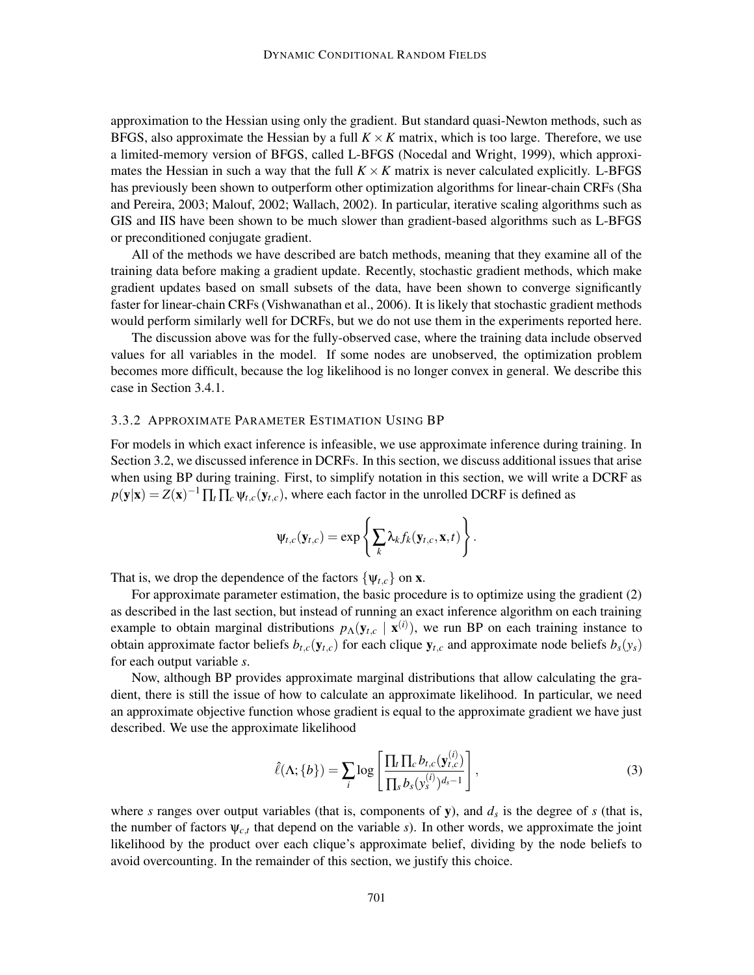approximation to the Hessian using only the gradient. But standard quasi-Newton methods, such as BFGS, also approximate the Hessian by a full  $K \times K$  matrix, which is too large. Therefore, we use a limited-memory version of BFGS, called L-BFGS (Nocedal and Wright, 1999), which approximates the Hessian in such a way that the full  $K \times K$  matrix is never calculated explicitly. L-BFGS has previously been shown to outperform other optimization algorithms for linear-chain CRFs (Sha and Pereira, 2003; Malouf, 2002; Wallach, 2002). In particular, iterative scaling algorithms such as GIS and IIS have been shown to be much slower than gradient-based algorithms such as L-BFGS or preconditioned conjugate gradient.

All of the methods we have described are batch methods, meaning that they examine all of the training data before making a gradient update. Recently, stochastic gradient methods, which make gradient updates based on small subsets of the data, have been shown to converge significantly faster for linear-chain CRFs (Vishwanathan et al., 2006). It is likely that stochastic gradient methods would perform similarly well for DCRFs, but we do not use them in the experiments reported here.

The discussion above was for the fully-observed case, where the training data include observed values for all variables in the model. If some nodes are unobserved, the optimization problem becomes more difficult, because the log likelihood is no longer convex in general. We describe this case in Section 3.4.1.

## 3.3.2 APPROXIMATE PARAMETER ESTIMATION USING BP

For models in which exact inference is infeasible, we use approximate inference during training. In Section 3.2, we discussed inference in DCRFs. In this section, we discuss additional issues that arise when using BP during training. First, to simplify notation in this section, we will write a DCRF as  $p(\mathbf{y}|\mathbf{x}) = Z(\mathbf{x})^{-1} \prod_t \prod_c \psi_{t,c}(\mathbf{y}_{t,c})$ , where each factor in the unrolled DCRF is defined as

$$
\Psi_{t,c}(\mathbf{y}_{t,c}) = \exp\left\{\sum_k \lambda_k f_k(\mathbf{y}_{t,c}, \mathbf{x}, t)\right\}.
$$

That is, we drop the dependence of the factors  $\{\Psi_{t,c}\}$  on **x**.

For approximate parameter estimation, the basic procedure is to optimize using the gradient (2) as described in the last section, but instead of running an exact inference algorithm on each training example to obtain marginal distributions  $p_\Lambda(\mathbf{y}_{t,c} | \mathbf{x}^{(i)})$ , we run BP on each training instance to obtain approximate factor beliefs  $b_{t,c}(\mathbf{y}_{t,c})$  for each clique  $\mathbf{y}_{t,c}$  and approximate node beliefs  $b_s(\mathbf{y}_s)$ for each output variable *s*.

Now, although BP provides approximate marginal distributions that allow calculating the gradient, there is still the issue of how to calculate an approximate likelihood. In particular, we need an approximate objective function whose gradient is equal to the approximate gradient we have just described. We use the approximate likelihood

$$
\hat{\ell}(\Lambda;\{b\}) = \sum_{i} \log \left[ \frac{\prod_{t} \prod_{c} b_{t,c}(\mathbf{y}_{t,c}^{(i)})}{\prod_{s} b_{s}(\mathbf{y}_{s}^{(i)})^{d_{s}-1}} \right],
$$
\n(3)

where *s* ranges over output variables (that is, components of  $y$ ), and  $d_s$  is the degree of *s* (that is, the number of factors  $\psi_{c,t}$  that depend on the variable *s*). In other words, we approximate the joint likelihood by the product over each clique's approximate belief, dividing by the node beliefs to avoid overcounting. In the remainder of this section, we justify this choice.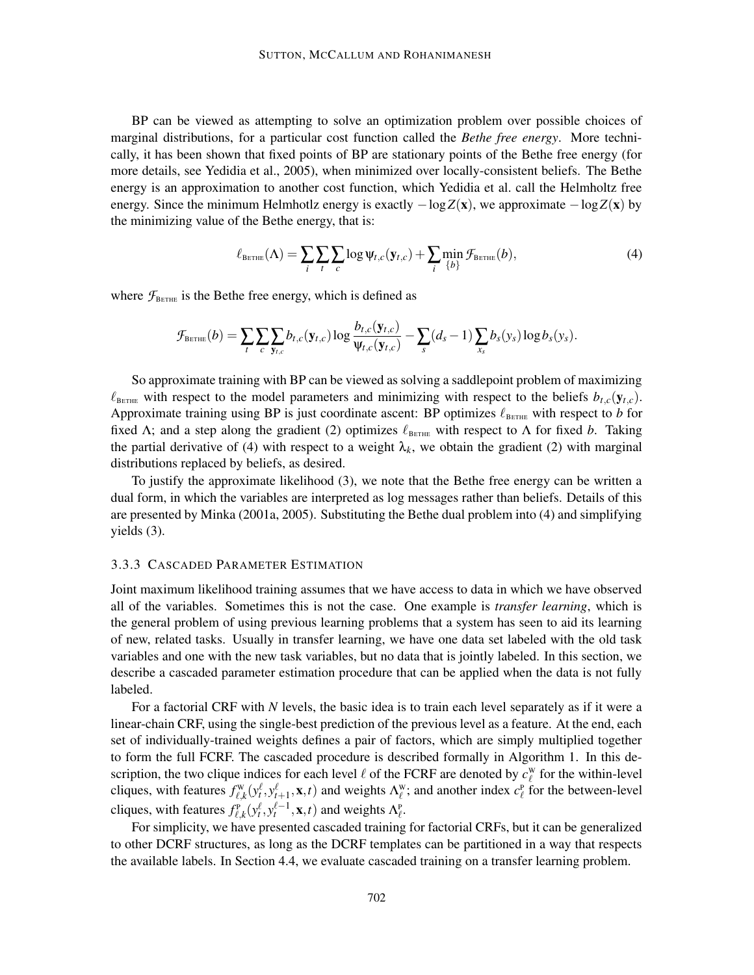BP can be viewed as attempting to solve an optimization problem over possible choices of marginal distributions, for a particular cost function called the *Bethe free energy*. More technically, it has been shown that fixed points of BP are stationary points of the Bethe free energy (for more details, see Yedidia et al., 2005), when minimized over locally-consistent beliefs. The Bethe energy is an approximation to another cost function, which Yedidia et al. call the Helmholtz free energy. Since the minimum Helmhotlz energy is exactly  $-\log Z(x)$ , we approximate  $-\log Z(x)$  by the minimizing value of the Bethe energy, that is:

$$
\ell_{\text{BETHE}}(\Lambda) = \sum_{i} \sum_{t} \sum_{c} \log \psi_{t,c}(\mathbf{y}_{t,c}) + \sum_{i} \min_{\{b\}} \mathcal{F}_{\text{BETHE}}(b), \tag{4}
$$

where  $\mathcal{F}_{\text{BETHE}}$  is the Bethe free energy, which is defined as

$$
\mathcal{F}_{\text{Berthe}}(b) = \sum_{t} \sum_{c} \sum_{\mathbf{y}_{t,c}} b_{t,c}(\mathbf{y}_{t,c}) \log \frac{b_{t,c}(\mathbf{y}_{t,c})}{\Psi_{t,c}(\mathbf{y}_{t,c})} - \sum_{s} (d_s - 1) \sum_{x_s} b_s(y_s) \log b_s(y_s).
$$

So approximate training with BP can be viewed as solving a saddlepoint problem of maximizing  $\ell_{\text{BETHE}}$  with respect to the model parameters and minimizing with respect to the beliefs  $b_{t,c}(\mathbf{y}_{t,c})$ . Approximate training using BP is just coordinate ascent: BP optimizes  $\ell_{\text{BerHE}}$  with respect to *b* for fixed  $\Lambda$ ; and a step along the gradient (2) optimizes  $\ell_{\text{BETHE}}$  with respect to  $\Lambda$  for fixed *b*. Taking the partial derivative of (4) with respect to a weight  $\lambda_k$ , we obtain the gradient (2) with marginal distributions replaced by beliefs, as desired.

To justify the approximate likelihood (3), we note that the Bethe free energy can be written a dual form, in which the variables are interpreted as log messages rather than beliefs. Details of this are presented by Minka (2001a, 2005). Substituting the Bethe dual problem into (4) and simplifying yields (3).

#### 3.3.3 CASCADED PARAMETER ESTIMATION

Joint maximum likelihood training assumes that we have access to data in which we have observed all of the variables. Sometimes this is not the case. One example is *transfer learning*, which is the general problem of using previous learning problems that a system has seen to aid its learning of new, related tasks. Usually in transfer learning, we have one data set labeled with the old task variables and one with the new task variables, but no data that is jointly labeled. In this section, we describe a cascaded parameter estimation procedure that can be applied when the data is not fully labeled.

For a factorial CRF with *N* levels, the basic idea is to train each level separately as if it were a linear-chain CRF, using the single-best prediction of the previous level as a feature. At the end, each set of individually-trained weights defines a pair of factors, which are simply multiplied together to form the full FCRF. The cascaded procedure is described formally in Algorithm 1. In this description, the two clique indices for each level  $\ell$  of the FCRF are denoted by  $c_{\ell}^{\text{w}}$  for the within-level cliques, with features  $f_{\ell,k}^{\mathbf{w}}(y_t^{\ell}, y_{t+1}^{\ell}, \mathbf{x}, t)$  and weights  $\Lambda_{\ell}^{\mathbf{w}}$ ; and another index  $c_{\ell}^{\mathbf{p}}$  for the between-level cliques, with features  $f_{\ell,k}^{\text{P}}(y_t^{\ell}, y_t^{\ell-1}, \mathbf{x}, t)$  and weights  $\Lambda_{\ell}^{\text{P}}$ .

For simplicity, we have presented cascaded training for factorial CRFs, but it can be generalized to other DCRF structures, as long as the DCRF templates can be partitioned in a way that respects the available labels. In Section 4.4, we evaluate cascaded training on a transfer learning problem.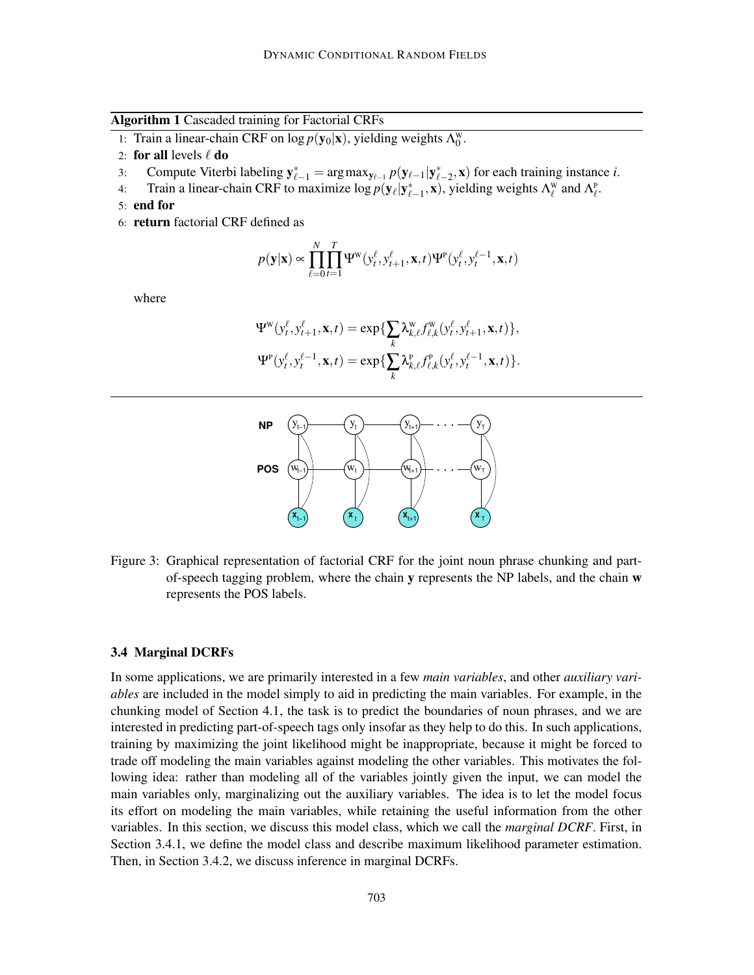**Algorithm 1** Cascaded training for Factorial CRFs

- 1: Train a linear-chain CRF on  $\log p(\mathbf{y}_0|\mathbf{x})$ , yielding weights  $\Lambda_0^w$ .
- 2: **for all** levels  $\ell$  **do**
- 3: Compute Viterbi labeling  $\mathbf{y}_{\ell-1}^* = \arg \max_{\mathbf{y}_{\ell-1}} p(\mathbf{y}_{\ell-1} | \mathbf{y}_{\ell-2}^*, \mathbf{x})$  for each training instance *i*.
- 4: Train a linear-chain CRF to maximize  $\log p(\mathbf{y}_{\ell}|\mathbf{y}_{\ell-1}^*, \mathbf{x})$ , yielding weights  $\Lambda_{\ell}^{\mathbf{w}}$  and  $\Lambda_{\ell}^{\mathbf{p}}$ .
- 5: **end for**
- 6: **return** factorial CRF defined as

$$
p(\mathbf{y}|\mathbf{x}) \propto \prod_{\ell=0}^{N} \prod_{t=1}^{T} \Psi^{\mathbf{w}}(y_t^{\ell}, y_{t+1}^{\ell}, \mathbf{x}, t) \Psi^{\mathbf{p}}(y_t^{\ell}, y_t^{\ell-1}, \mathbf{x}, t)
$$

where

$$
\Psi^{\mathbf{w}}(y_t^{\ell}, y_{t+1}^{\ell}, \mathbf{x}, t) = \exp\{\sum_k \lambda_{k,\ell}^{\mathbf{w}} f_{\ell,k}^{\mathbf{w}}(y_t^{\ell}, y_{t+1}^{\ell}, \mathbf{x}, t)\},
$$
  

$$
\Psi^{\mathbf{p}}(y_t^{\ell}, y_t^{\ell-1}, \mathbf{x}, t) = \exp\{\sum_k \lambda_{k,\ell}^{\mathbf{p}} f_{\ell,k}^{\mathbf{p}}(y_t^{\ell}, y_t^{\ell-1}, \mathbf{x}, t)\}.
$$



Figure 3: Graphical representation of factorial CRF for the joint noun phrase chunking and partof-speech tagging problem, where the chain **y** represents the NP labels, and the chain **w** represents the POS labels.

#### **3.4 Marginal DCRFs**

In some applications, we are primarily interested in a few *main variables*, and other *auxiliary variables* are included in the model simply to aid in predicting the main variables. For example, in the chunking model of Section 4.1, the task is to predict the boundaries of noun phrases, and we are interested in predicting part-of-speech tags only insofar as they help to do this. In such applications, training by maximizing the joint likelihood might be inappropriate, because it might be forced to trade off modeling the main variables against modeling the other variables. This motivates the following idea: rather than modeling all of the variables jointly given the input, we can model the main variables only, marginalizing out the auxiliary variables. The idea is to let the model focus its effort on modeling the main variables, while retaining the useful information from the other variables. In this section, we discuss this model class, which we call the *marginal DCRF*. First, in Section 3.4.1, we define the model class and describe maximum likelihood parameter estimation. Then, in Section 3.4.2, we discuss inference in marginal DCRFs.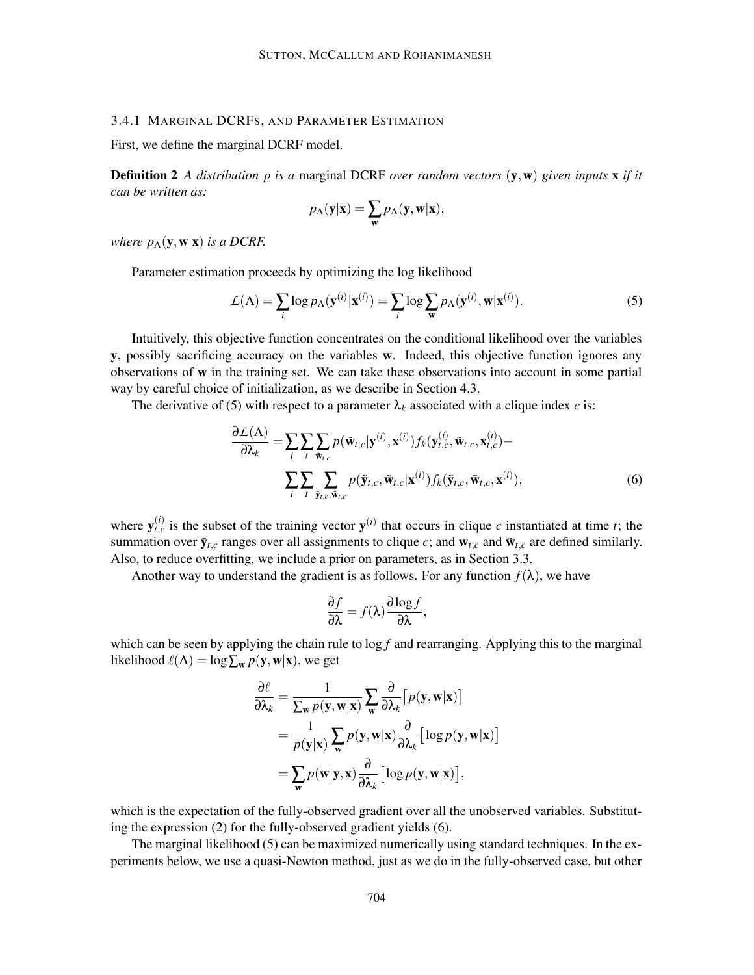## 3.4.1 MARGINAL DCRFS, AND PARAMETER ESTIMATION

First, we define the marginal DCRF model.

**Definition 2** *A distribution p is a* marginal DCRF *over random vectors* (**y**,**w**) *given inputs* **x** *if it can be written as:*

$$
p_{\Lambda}(\mathbf{y}|\mathbf{x}) = \sum_{\mathbf{w}} p_{\Lambda}(\mathbf{y}, \mathbf{w}|\mathbf{x}),
$$

*where*  $p_{\Lambda}(\mathbf{y}, \mathbf{w}|\mathbf{x})$  *is a DCRF.* 

Parameter estimation proceeds by optimizing the log likelihood

$$
\mathcal{L}(\Lambda) = \sum_{i} \log p_{\Lambda}(\mathbf{y}^{(i)} | \mathbf{x}^{(i)}) = \sum_{i} \log \sum_{\mathbf{w}} p_{\Lambda}(\mathbf{y}^{(i)}, \mathbf{w} | \mathbf{x}^{(i)}).
$$
(5)

Intuitively, this objective function concentrates on the conditional likelihood over the variables **y**, possibly sacrificing accuracy on the variables **w**. Indeed, this objective function ignores any observations of **w** in the training set. We can take these observations into account in some partial way by careful choice of initialization, as we describe in Section 4.3.

The derivative of (5) with respect to a parameter  $\lambda_k$  associated with a clique index *c* is:

$$
\frac{\partial \mathcal{L}(\Lambda)}{\partial \lambda_k} = \sum_i \sum_t \sum_{\tilde{\mathbf{w}}_{t,c}} p(\tilde{\mathbf{w}}_{t,c} | \mathbf{y}^{(i)}, \mathbf{x}^{(i)}) f_k(\mathbf{y}_{t,c}^{(i)}, \tilde{\mathbf{w}}_{t,c}, \mathbf{x}_{t,c}^{(i)}) - \sum_i \sum_t \sum_{\tilde{\mathbf{y}}_{t,c}, \tilde{\mathbf{w}}_{t,c}} p(\tilde{\mathbf{y}}_{t,c}, \tilde{\mathbf{w}}_{t,c} | \mathbf{x}^{(i)}) f_k(\tilde{\mathbf{y}}_{t,c}, \tilde{\mathbf{w}}_{t,c}, \mathbf{x}^{(i)}),
$$
\n(6)

where  $y_{t,c}^{(i)}$  is the subset of the training vector  $y^{(i)}$  that occurs in clique *c* instantiated at time *t*; the summation over  $\tilde{\mathbf{y}}_{t,c}$  ranges over all assignments to clique *c*; and  $\mathbf{w}_{t,c}$  and  $\tilde{\mathbf{w}}_{t,c}$  are defined similarly. Also, to reduce overfitting, we include a prior on parameters, as in Section 3.3.

Another way to understand the gradient is as follows. For any function  $f(\lambda)$ , we have

$$
\frac{\partial f}{\partial \lambda} = f(\lambda) \frac{\partial \log f}{\partial \lambda},
$$

which can be seen by applying the chain rule to  $\log f$  and rearranging. Applying this to the marginal likelihood  $\ell(\Lambda) = \log \sum_{\mathbf{w}} p(\mathbf{y}, \mathbf{w}|\mathbf{x})$ , we get

$$
\frac{\partial \ell}{\partial \lambda_k} = \frac{1}{\sum_{\mathbf{w}} p(\mathbf{y}, \mathbf{w} | \mathbf{x})} \sum_{\mathbf{w}} \frac{\partial}{\partial \lambda_k} [p(\mathbf{y}, \mathbf{w} | \mathbf{x})] \n= \frac{1}{p(\mathbf{y} | \mathbf{x})} \sum_{\mathbf{w}} p(\mathbf{y}, \mathbf{w} | \mathbf{x}) \frac{\partial}{\partial \lambda_k} [\log p(\mathbf{y}, \mathbf{w} | \mathbf{x})] \n= \sum_{\mathbf{w}} p(\mathbf{w} | \mathbf{y}, \mathbf{x}) \frac{\partial}{\partial \lambda_k} [\log p(\mathbf{y}, \mathbf{w} | \mathbf{x})],
$$

which is the expectation of the fully-observed gradient over all the unobserved variables. Substituting the expression (2) for the fully-observed gradient yields (6).

The marginal likelihood (5) can be maximized numerically using standard techniques. In the experiments below, we use a quasi-Newton method, just as we do in the fully-observed case, but other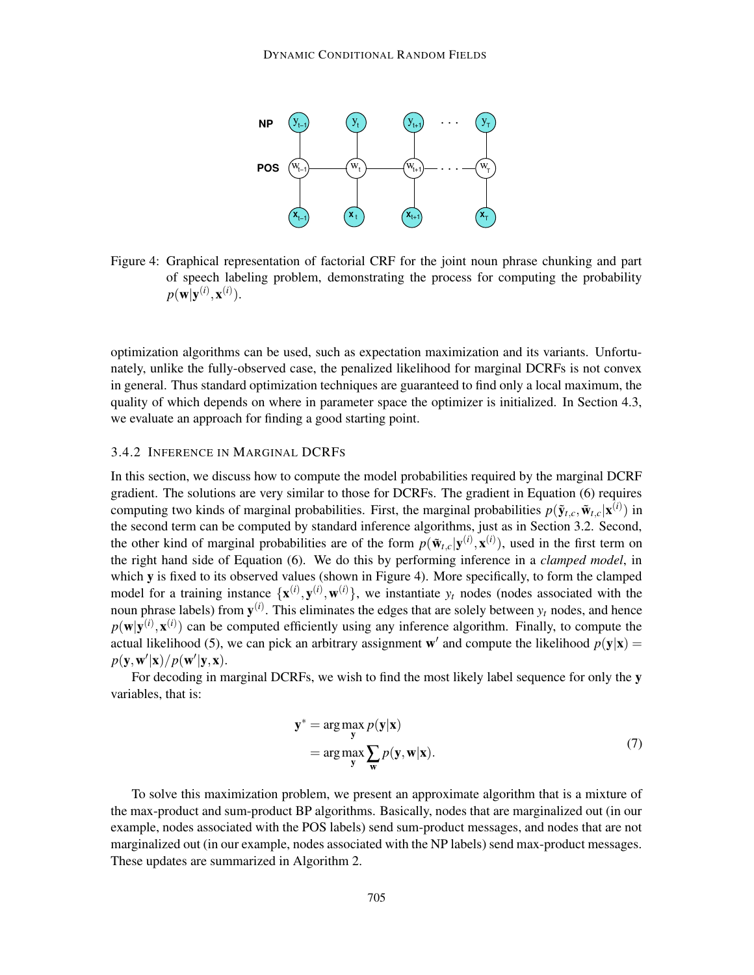

Figure 4: Graphical representation of factorial CRF for the joint noun phrase chunking and part of speech labeling problem, demonstrating the process for computing the probability  $p(\mathbf{w}|\mathbf{y}^{(i)}, \mathbf{x}^{(i)}).$ 

optimization algorithms can be used, such as expectation maximization and its variants. Unfortunately, unlike the fully-observed case, the penalized likelihood for marginal DCRFs is not convex in general. Thus standard optimization techniques are guaranteed to find only a local maximum, the quality of which depends on where in parameter space the optimizer is initialized. In Section 4.3, we evaluate an approach for finding a good starting point.

#### 3.4.2 INFERENCE IN MARGINAL DCRFS

In this section, we discuss how to compute the model probabilities required by the marginal DCRF gradient. The solutions are very similar to those for DCRFs. The gradient in Equation (6) requires computing two kinds of marginal probabilities. First, the marginal probabilities  $p(\tilde{\mathbf{y}}_{t,c}, \tilde{\mathbf{w}}_{t,c} | \mathbf{x}^{(i)})$  in the second term can be computed by standard inference algorithms, just as in Section 3.2. Second, the other kind of marginal probabilities are of the form  $p(\tilde{\mathbf{w}}_{t,c}|\mathbf{y}^{(i)},\mathbf{x}^{(i)})$ , used in the first term on the right hand side of Equation (6). We do this by performing inference in a *clamped model*, in which **y** is fixed to its observed values (shown in Figure 4). More specifically, to form the clamped model for a training instance  $\{x^{(i)}, y^{(i)}, w^{(i)}\}$ , we instantiate  $y_t$  nodes (nodes associated with the noun phrase labels) from  $y^{(i)}$ . This eliminates the edges that are solely between  $y_t$  nodes, and hence  $p(\mathbf{w}|\mathbf{y}^{(i)}, \mathbf{x}^{(i)})$  can be computed efficiently using any inference algorithm. Finally, to compute the actual likelihood (5), we can pick an arbitrary assignment **w**' and compute the likelihood  $p(\mathbf{y}|\mathbf{x}) =$  $p(\mathbf{y}, \mathbf{w}'|\mathbf{x})/p(\mathbf{w}'|\mathbf{y}, \mathbf{x}).$ 

For decoding in marginal DCRFs, we wish to find the most likely label sequence for only the **y** variables, that is:

$$
\mathbf{y}^* = \underset{\mathbf{y}}{\arg \max} \ \underset{\mathbf{w}}{\arg \max} \ \underset{\mathbf{w}}{\sum} \ p(\mathbf{y}, \mathbf{w} | \mathbf{x}). \tag{7}
$$

To solve this maximization problem, we present an approximate algorithm that is a mixture of the max-product and sum-product BP algorithms. Basically, nodes that are marginalized out (in our example, nodes associated with the POS labels) send sum-product messages, and nodes that are not marginalized out (in our example, nodes associated with the NP labels) send max-product messages. These updates are summarized in Algorithm 2.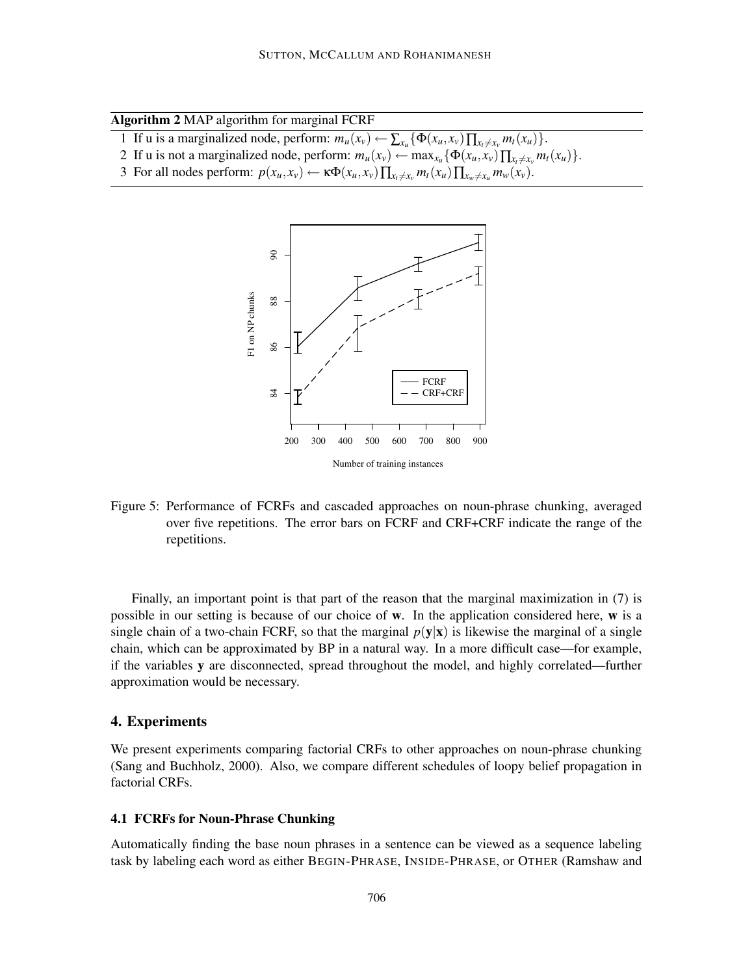|  |  |  | Algorithm 2 MAP algorithm for marginal FCRF |  |
|--|--|--|---------------------------------------------|--|
|--|--|--|---------------------------------------------|--|

- 1 If u is a marginalized node, perform:  $m_u(x_v) \leftarrow \sum_{x_u} {\{\Phi(x_u, x_v) \prod_{x_t \neq x_v} m_t(x_u)\}}$ .
- 2 If u is not a marginalized node, perform:  $m_u(x_v) \leftarrow \max_{x_u} {\{\Phi(x_u, x_v) \prod_{x_t \neq x_v} m_t(x_u)\}}$ .
- 3 For all nodes perform:  $p(x_u, x_v) \leftarrow \kappa \Phi(x_u, x_v) \prod_{x_v \neq x_v} m_t(x_u) \prod_{x_w \neq x_u} m_w(x_v)$ .



Number of training instances

Figure 5: Performance of FCRFs and cascaded approaches on noun-phrase chunking, averaged over five repetitions. The error bars on FCRF and CRF+CRF indicate the range of the repetitions.

Finally, an important point is that part of the reason that the marginal maximization in (7) is possible in our setting is because of our choice of **w**. In the application considered here, **w** is a single chain of a two-chain FCRF, so that the marginal  $p(y|x)$  is likewise the marginal of a single chain, which can be approximated by BP in a natural way. In a more difficult case—for example, if the variables **y** are disconnected, spread throughout the model, and highly correlated—further approximation would be necessary.

#### **4. Experiments**

We present experiments comparing factorial CRFs to other approaches on noun-phrase chunking (Sang and Buchholz, 2000). Also, we compare different schedules of loopy belief propagation in factorial CRFs.

# **4.1 FCRFs for Noun-Phrase Chunking**

Automatically finding the base noun phrases in a sentence can be viewed as a sequence labeling task by labeling each word as either BEGIN-PHRASE, INSIDE-PHRASE, or OTHER (Ramshaw and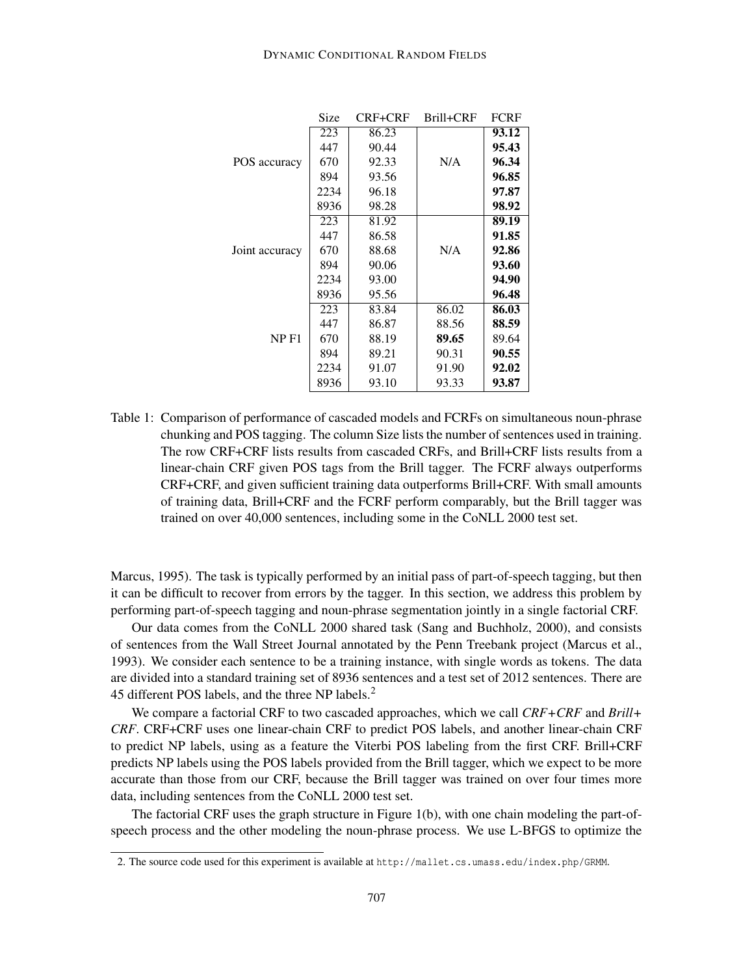|                  | Size | <b>CRF+CRF</b> | Brill+CRF | <b>FCRF</b> |
|------------------|------|----------------|-----------|-------------|
|                  | 223  | 86.23          |           | 93.12       |
|                  | 447  | 90.44          |           | 95.43       |
| POS accuracy     | 670  | 92.33          | N/A       | 96.34       |
|                  | 894  | 93.56          |           | 96.85       |
|                  | 2234 | 96.18          |           | 97.87       |
|                  | 8936 | 98.28          |           | 98.92       |
|                  | 223  | 81.92          |           | 89.19       |
|                  | 447  | 86.58          |           | 91.85       |
| Joint accuracy   | 670  | 88.68          | N/A       | 92.86       |
|                  | 894  | 90.06          |           | 93.60       |
|                  | 2234 | 93.00          |           | 94.90       |
|                  | 8936 | 95.56          |           | 96.48       |
|                  | 223  | 83.84          | 86.02     | 86.03       |
|                  | 447  | 86.87          | 88.56     | 88.59       |
| NP <sub>F1</sub> | 670  | 88.19          | 89.65     | 89.64       |
|                  | 894  | 89.21          | 90.31     | 90.55       |
|                  | 2234 | 91.07          | 91.90     | 92.02       |
|                  | 8936 | 93.10          | 93.33     | 93.87       |

Table 1: Comparison of performance of cascaded models and FCRFs on simultaneous noun-phrase chunking and POS tagging. The column Size lists the number of sentences used in training. The row CRF+CRF lists results from cascaded CRFs, and Brill+CRF lists results from a linear-chain CRF given POS tags from the Brill tagger. The FCRF always outperforms CRF+CRF, and given sufficient training data outperforms Brill+CRF. With small amounts of training data, Brill+CRF and the FCRF perform comparably, but the Brill tagger was trained on over 40,000 sentences, including some in the CoNLL 2000 test set.

Marcus, 1995). The task is typically performed by an initial pass of part-of-speech tagging, but then it can be difficult to recover from errors by the tagger. In this section, we address this problem by performing part-of-speech tagging and noun-phrase segmentation jointly in a single factorial CRF.

Our data comes from the CoNLL 2000 shared task (Sang and Buchholz, 2000), and consists of sentences from the Wall Street Journal annotated by the Penn Treebank project (Marcus et al., 1993). We consider each sentence to be a training instance, with single words as tokens. The data are divided into a standard training set of 8936 sentences and a test set of 2012 sentences. There are 45 different POS labels, and the three NP labels.<sup>2</sup>

We compare a factorial CRF to two cascaded approaches, which we call *CRF+CRF* and *Brill+ CRF*. CRF+CRF uses one linear-chain CRF to predict POS labels, and another linear-chain CRF to predict NP labels, using as a feature the Viterbi POS labeling from the first CRF. Brill+CRF predicts NP labels using the POS labels provided from the Brill tagger, which we expect to be more accurate than those from our CRF, because the Brill tagger was trained on over four times more data, including sentences from the CoNLL 2000 test set.

The factorial CRF uses the graph structure in Figure 1(b), with one chain modeling the part-ofspeech process and the other modeling the noun-phrase process. We use L-BFGS to optimize the

<sup>2.</sup> The source code used for this experiment is available at http://mallet.cs.umass.edu/index.php/GRMM.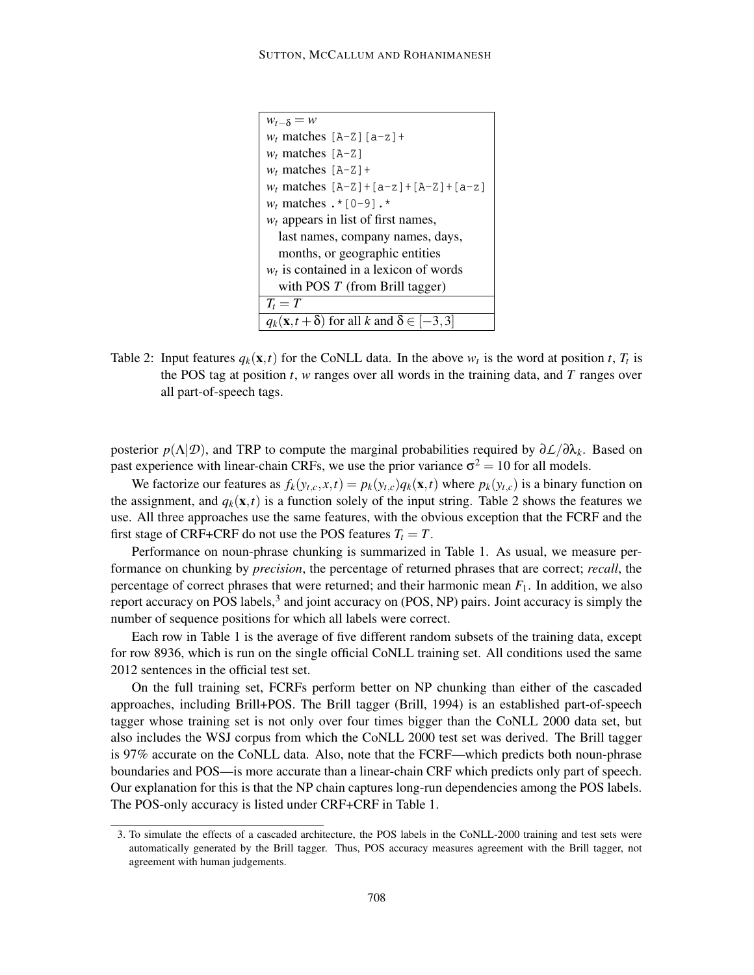```
w_{t-\delta} = ww_t matches [A-Z] [a-z] +
w_t matches [A-Z]
w_t matches [A-Z]+w_t matches [A-Z] + [a-z] + [A-Z] + [a-z]w_t matches \cdot * [0-9] \cdot *
w_t appears in list of first names,
  last names, company names, days,
  months, or geographic entities
w_t is contained in a lexicon of words
  with POS T (from Brill tagger)
T_t = Tq_k(\mathbf{x}, t + \delta) for all k and \delta \in [-3, 3]
```
Table 2: Input features  $q_k(\mathbf{x},t)$  for the CoNLL data. In the above  $w_t$  is the word at position *t*,  $T_t$  is the POS tag at position *t*, *w* ranges over all words in the training data, and *T* ranges over all part-of-speech tags.

posterior  $p(\Lambda|\mathcal{D})$ , and TRP to compute the marginal probabilities required by  $\partial \mathcal{L}/\partial \lambda_k$ . Based on past experience with linear-chain CRFs, we use the prior variance  $\sigma^2 = 10$  for all models.

We factorize our features as  $f_k(y_{t,c}, x, t) = p_k(y_{t,c}) q_k(\mathbf{x}, t)$  where  $p_k(y_{t,c})$  is a binary function on the assignment, and  $q_k(\mathbf{x},t)$  is a function solely of the input string. Table 2 shows the features we use. All three approaches use the same features, with the obvious exception that the FCRF and the first stage of CRF+CRF do not use the POS features  $T_t = T$ .

Performance on noun-phrase chunking is summarized in Table 1. As usual, we measure performance on chunking by *precision*, the percentage of returned phrases that are correct; *recall*, the percentage of correct phrases that were returned; and their harmonic mean *F*1. In addition, we also report accuracy on POS labels,<sup>3</sup> and joint accuracy on (POS, NP) pairs. Joint accuracy is simply the number of sequence positions for which all labels were correct.

Each row in Table 1 is the average of five different random subsets of the training data, except for row 8936, which is run on the single official CoNLL training set. All conditions used the same 2012 sentences in the official test set.

On the full training set, FCRFs perform better on NP chunking than either of the cascaded approaches, including Brill+POS. The Brill tagger (Brill, 1994) is an established part-of-speech tagger whose training set is not only over four times bigger than the CoNLL 2000 data set, but also includes the WSJ corpus from which the CoNLL 2000 test set was derived. The Brill tagger is 97% accurate on the CoNLL data. Also, note that the FCRF—which predicts both noun-phrase boundaries and POS—is more accurate than a linear-chain CRF which predicts only part of speech. Our explanation for this is that the NP chain captures long-run dependencies among the POS labels. The POS-only accuracy is listed under CRF+CRF in Table 1.

<sup>3.</sup> To simulate the effects of a cascaded architecture, the POS labels in the CoNLL-2000 training and test sets were automatically generated by the Brill tagger. Thus, POS accuracy measures agreement with the Brill tagger, not agreement with human judgements.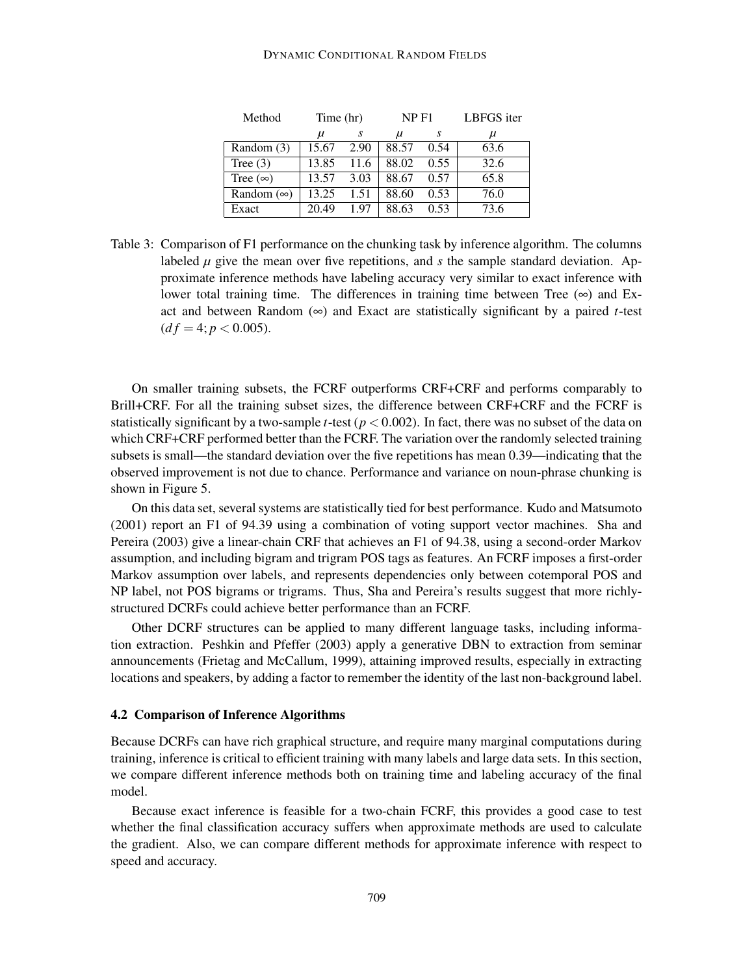#### DYNAMIC CONDITIONAL RANDOM FIELDS

| Method            | Time (hr) |      | NP F1 |      | LBFGS iter |  |
|-------------------|-----------|------|-------|------|------------|--|
|                   | μ         | S    | $\mu$ | S    | μ          |  |
| Random (3)        | 15.67     | 2.90 | 88.57 | 0.54 | 63.6       |  |
| Tree $(3)$        | 13.85     | 11.6 | 88.02 | 0.55 | 32.6       |  |
| Tree $(\infty)$   | 13.57     | 3.03 | 88.67 | 0.57 | 65.8       |  |
| Random $(\infty)$ | 13.25     | 1.51 | 88.60 | 0.53 | 76.0       |  |
| Exact             | 20.49     | 1.97 | 88.63 | 0.53 | 73.6       |  |

Table 3: Comparison of F1 performance on the chunking task by inference algorithm. The columns labeled  $\mu$  give the mean over five repetitions, and  $s$  the sample standard deviation. Approximate inference methods have labeling accuracy very similar to exact inference with lower total training time. The differences in training time between Tree  $(\infty)$  and Exact and between Random  $(\infty)$  and Exact are statistically significant by a paired *t*-test  $(df = 4; p < 0.005).$ 

On smaller training subsets, the FCRF outperforms CRF+CRF and performs comparably to Brill+CRF. For all the training subset sizes, the difference between CRF+CRF and the FCRF is statistically significant by a two-sample *t*-test ( $p < 0.002$ ). In fact, there was no subset of the data on which CRF+CRF performed better than the FCRF. The variation over the randomly selected training subsets is small—the standard deviation over the five repetitions has mean 0.39—indicating that the observed improvement is not due to chance. Performance and variance on noun-phrase chunking is shown in Figure 5.

On this data set, several systems are statistically tied for best performance. Kudo and Matsumoto (2001) report an F1 of 94.39 using a combination of voting support vector machines. Sha and Pereira (2003) give a linear-chain CRF that achieves an F1 of 94.38, using a second-order Markov assumption, and including bigram and trigram POS tags as features. An FCRF imposes a first-order Markov assumption over labels, and represents dependencies only between cotemporal POS and NP label, not POS bigrams or trigrams. Thus, Sha and Pereira's results suggest that more richlystructured DCRFs could achieve better performance than an FCRF.

Other DCRF structures can be applied to many different language tasks, including information extraction. Peshkin and Pfeffer (2003) apply a generative DBN to extraction from seminar announcements (Frietag and McCallum, 1999), attaining improved results, especially in extracting locations and speakers, by adding a factor to remember the identity of the last non-background label.

#### **4.2 Comparison of Inference Algorithms**

Because DCRFs can have rich graphical structure, and require many marginal computations during training, inference is critical to efficient training with many labels and large data sets. In this section, we compare different inference methods both on training time and labeling accuracy of the final model.

Because exact inference is feasible for a two-chain FCRF, this provides a good case to test whether the final classification accuracy suffers when approximate methods are used to calculate the gradient. Also, we can compare different methods for approximate inference with respect to speed and accuracy.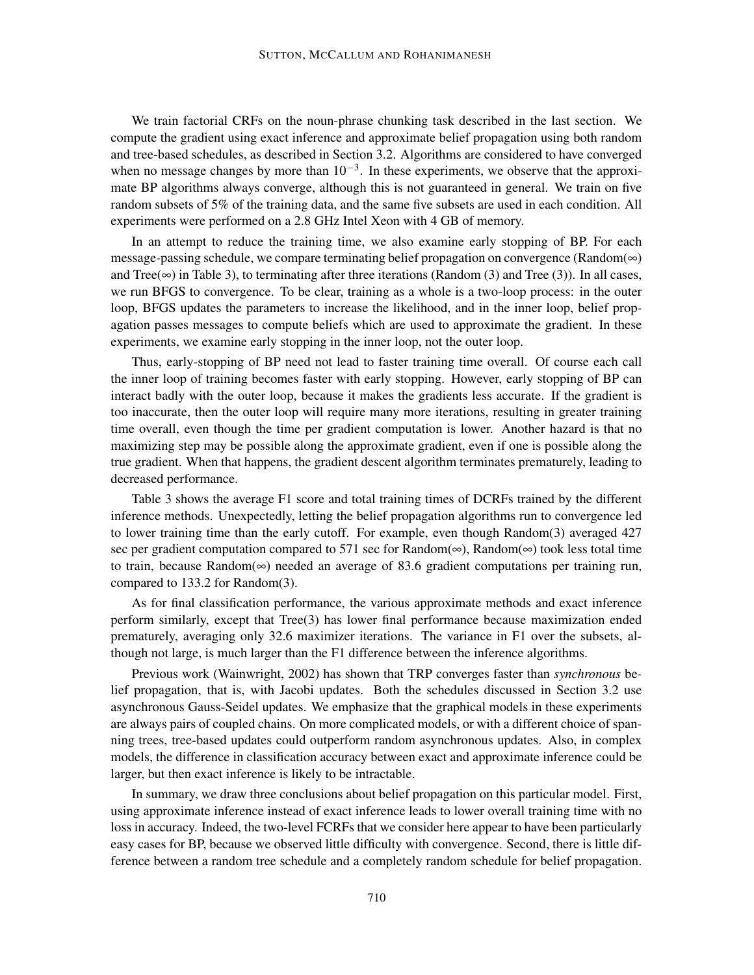We train factorial CRFs on the noun-phrase chunking task described in the last section. We compute the gradient using exact inference and approximate belief propagation using both random and tree-based schedules, as described in Section 3.2. Algorithms are considered to have converged when no message changes by more than  $10^{-3}$ . In these experiments, we observe that the approximate BP algorithms always converge, although this is not guaranteed in general. We train on five random subsets of 5% of the training data, and the same five subsets are used in each condition. All experiments were performed on a 2.8 GHz Intel Xeon with 4 GB of memory.

In an attempt to reduce the training time, we also examine early stopping of BP. For each message-passing schedule, we compare terminating belief propagation on convergence (Random( $\infty$ ) and Tree( $\infty$ ) in Table 3), to terminating after three iterations (Random (3) and Tree (3)). In all cases, we run BFGS to convergence. To be clear, training as a whole is a two-loop process: in the outer loop, BFGS updates the parameters to increase the likelihood, and in the inner loop, belief propagation passes messages to compute beliefs which are used to approximate the gradient. In these experiments, we examine early stopping in the inner loop, not the outer loop.

Thus, early-stopping of BP need not lead to faster training time overall. Of course each call the inner loop of training becomes faster with early stopping. However, early stopping of BP can interact badly with the outer loop, because it makes the gradients less accurate. If the gradient is too inaccurate, then the outer loop will require many more iterations, resulting in greater training time overall, even though the time per gradient computation is lower. Another hazard is that no maximizing step may be possible along the approximate gradient, even if one is possible along the true gradient. When that happens, the gradient descent algorithm terminates prematurely, leading to decreased performance.

Table 3 shows the average F1 score and total training times of DCRFs trained by the different inference methods. Unexpectedly, letting the belief propagation algorithms run to convergence led to lower training time than the early cutoff. For example, even though Random(3) averaged 427 sec per gradient computation compared to 571 sec for Random(∞), Random(∞) took less total time to train, because Random(∞) needed an average of 83.6 gradient computations per training run, compared to 133.2 for Random(3).

As for final classification performance, the various approximate methods and exact inference perform similarly, except that Tree(3) has lower final performance because maximization ended prematurely, averaging only 32.6 maximizer iterations. The variance in F1 over the subsets, although not large, is much larger than the F1 difference between the inference algorithms.

Previous work (Wainwright, 2002) has shown that TRP converges faster than *synchronous* belief propagation, that is, with Jacobi updates. Both the schedules discussed in Section 3.2 use asynchronous Gauss-Seidel updates. We emphasize that the graphical models in these experiments are always pairs of coupled chains. On more complicated models, or with a different choice of spanning trees, tree-based updates could outperform random asynchronous updates. Also, in complex models, the difference in classification accuracy between exact and approximate inference could be larger, but then exact inference is likely to be intractable.

In summary, we draw three conclusions about belief propagation on this particular model. First, using approximate inference instead of exact inference leads to lower overall training time with no loss in accuracy. Indeed, the two-level FCRFs that we consider here appear to have been particularly easy cases for BP, because we observed little difficulty with convergence. Second, there is little difference between a random tree schedule and a completely random schedule for belief propagation.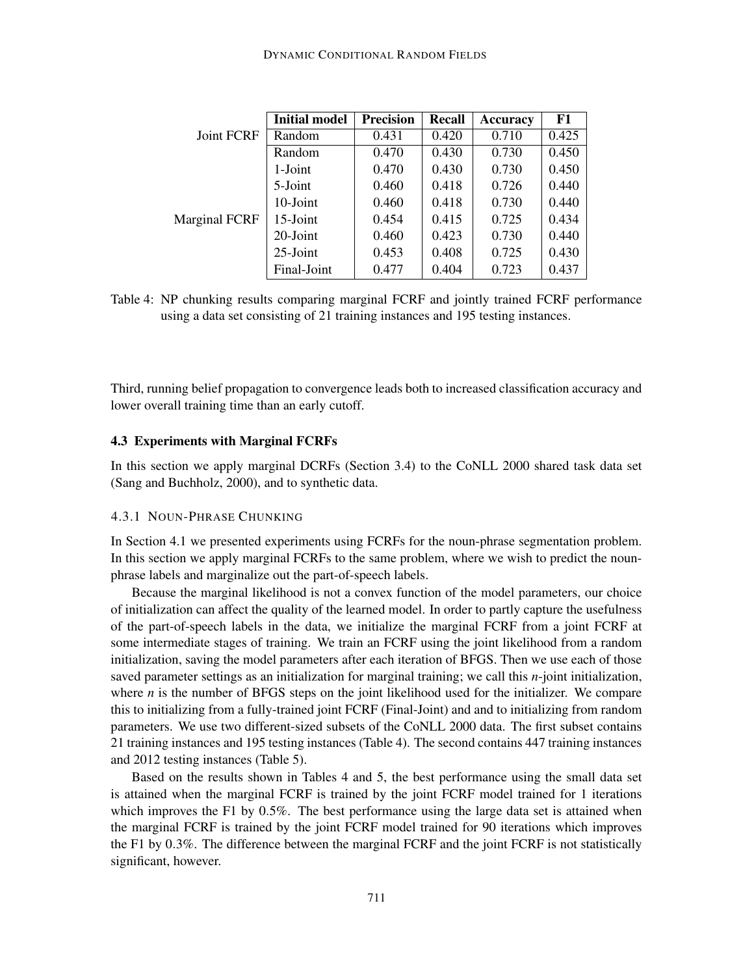|                      | <b>Initial model</b> | <b>Precision</b> | Recall | <b>Accuracy</b> | F1    |
|----------------------|----------------------|------------------|--------|-----------------|-------|
| <b>Joint FCRF</b>    | Random               | 0.431            | 0.420  | 0.710           | 0.425 |
|                      | Random               | 0.470            | 0.430  | 0.730           | 0.450 |
|                      | 1-Joint              | 0.470            | 0.430  | 0.730           | 0.450 |
|                      | 5-Joint              | 0.460            | 0.418  | 0.726           | 0.440 |
| <b>Marginal FCRF</b> | 10-Joint             | 0.460            | 0.418  | 0.730           | 0.440 |
|                      | 15-Joint             | 0.454            | 0.415  | 0.725           | 0.434 |
|                      | $20$ -Joint          | 0.460            | 0.423  | 0.730           | 0.440 |
|                      | $25$ -Joint          | 0.453            | 0.408  | 0.725           | 0.430 |
|                      | Final-Joint          | 0.477            | 0.404  | 0.723           | 0.437 |

Table 4: NP chunking results comparing marginal FCRF and jointly trained FCRF performance using a data set consisting of 21 training instances and 195 testing instances.

Third, running belief propagation to convergence leads both to increased classification accuracy and lower overall training time than an early cutoff.

#### **4.3 Experiments with Marginal FCRFs**

In this section we apply marginal DCRFs (Section 3.4) to the CoNLL 2000 shared task data set (Sang and Buchholz, 2000), and to synthetic data.

#### 4.3.1 NOUN-PHRASE CHUNKING

In Section 4.1 we presented experiments using FCRFs for the noun-phrase segmentation problem. In this section we apply marginal FCRFs to the same problem, where we wish to predict the nounphrase labels and marginalize out the part-of-speech labels.

Because the marginal likelihood is not a convex function of the model parameters, our choice of initialization can affect the quality of the learned model. In order to partly capture the usefulness of the part-of-speech labels in the data, we initialize the marginal FCRF from a joint FCRF at some intermediate stages of training. We train an FCRF using the joint likelihood from a random initialization, saving the model parameters after each iteration of BFGS. Then we use each of those saved parameter settings as an initialization for marginal training; we call this *n*-joint initialization, where  $n$  is the number of BFGS steps on the joint likelihood used for the initializer. We compare this to initializing from a fully-trained joint FCRF (Final-Joint) and and to initializing from random parameters. We use two different-sized subsets of the CoNLL 2000 data. The first subset contains 21 training instances and 195 testing instances (Table 4). The second contains 447 training instances and 2012 testing instances (Table 5).

Based on the results shown in Tables 4 and 5, the best performance using the small data set is attained when the marginal FCRF is trained by the joint FCRF model trained for 1 iterations which improves the F1 by 0.5%. The best performance using the large data set is attained when the marginal FCRF is trained by the joint FCRF model trained for 90 iterations which improves the F1 by 0.3%. The difference between the marginal FCRF and the joint FCRF is not statistically significant, however.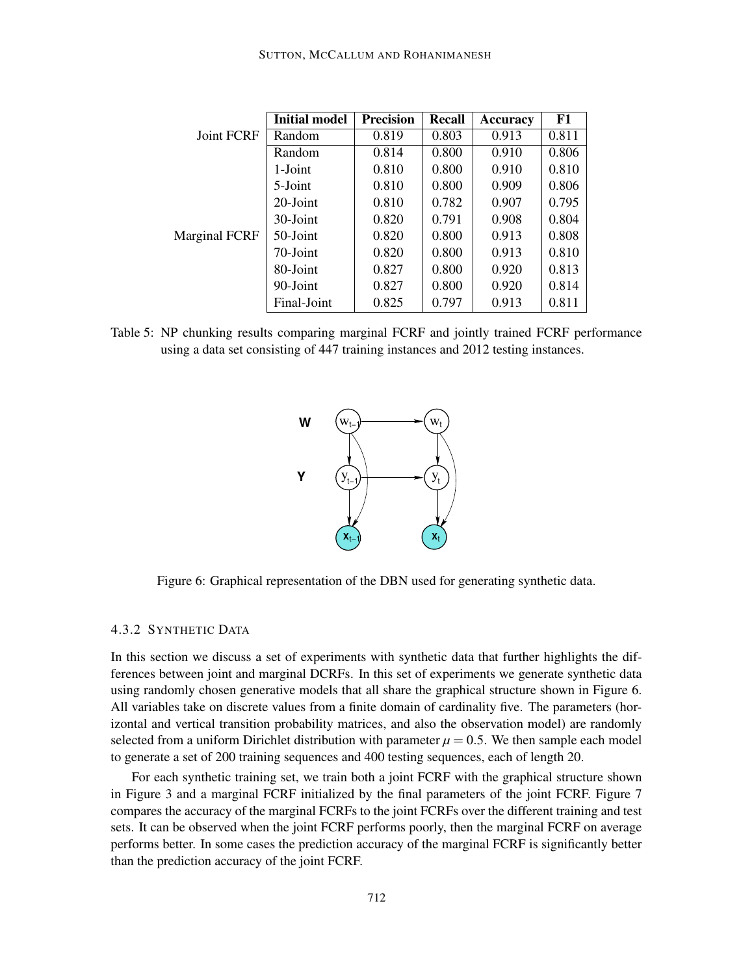|                      | <b>Initial model</b> | <b>Precision</b> | Recall | <b>Accuracy</b> | F1    |
|----------------------|----------------------|------------------|--------|-----------------|-------|
| <b>Joint FCRF</b>    | Random               | 0.819            | 0.803  | 0.913           | 0.811 |
|                      | Random               | 0.814            | 0.800  | 0.910           | 0.806 |
|                      | 1-Joint              | 0.810            | 0.800  | 0.910           | 0.810 |
|                      | 5-Joint              | 0.810            | 0.800  | 0.909           | 0.806 |
|                      | $20$ -Joint          | 0.810            | 0.782  | 0.907           | 0.795 |
| <b>Marginal FCRF</b> | 30-Joint             | 0.820            | 0.791  | 0.908           | 0.804 |
|                      | 50-Joint             | 0.820            | 0.800  | 0.913           | 0.808 |
|                      | 70-Joint             | 0.820            | 0.800  | 0.913           | 0.810 |
|                      | 80-Joint             | 0.827            | 0.800  | 0.920           | 0.813 |
|                      | 90-Joint             | 0.827            | 0.800  | 0.920           | 0.814 |
|                      | Final-Joint          | 0.825            | 0.797  | 0.913           | 0.811 |

Table 5: NP chunking results comparing marginal FCRF and jointly trained FCRF performance using a data set consisting of 447 training instances and 2012 testing instances.



Figure 6: Graphical representation of the DBN used for generating synthetic data.

# 4.3.2 SYNTHETIC DATA

In this section we discuss a set of experiments with synthetic data that further highlights the differences between joint and marginal DCRFs. In this set of experiments we generate synthetic data using randomly chosen generative models that all share the graphical structure shown in Figure 6. All variables take on discrete values from a finite domain of cardinality five. The parameters (horizontal and vertical transition probability matrices, and also the observation model) are randomly selected from a uniform Dirichlet distribution with parameter  $\mu = 0.5$ . We then sample each model to generate a set of 200 training sequences and 400 testing sequences, each of length 20.

For each synthetic training set, we train both a joint FCRF with the graphical structure shown in Figure 3 and a marginal FCRF initialized by the final parameters of the joint FCRF. Figure 7 compares the accuracy of the marginal FCRFs to the joint FCRFs over the different training and test sets. It can be observed when the joint FCRF performs poorly, then the marginal FCRF on average performs better. In some cases the prediction accuracy of the marginal FCRF is significantly better than the prediction accuracy of the joint FCRF.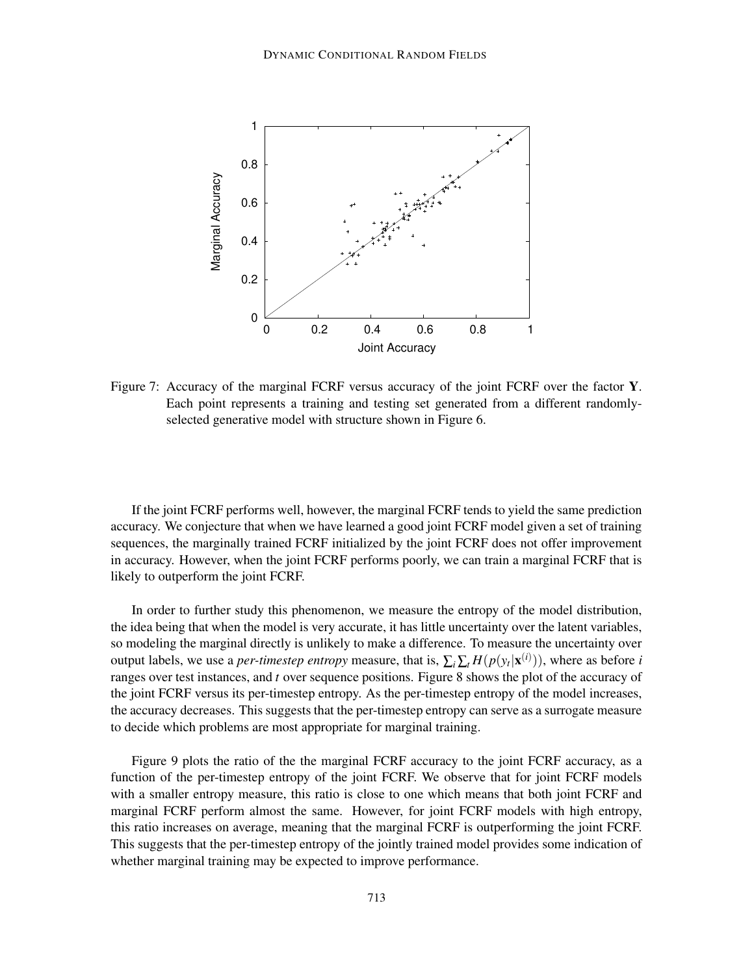

Figure 7: Accuracy of the marginal FCRF versus accuracy of the joint FCRF over the factor **Y**. Each point represents a training and testing set generated from a different randomlyselected generative model with structure shown in Figure 6.

If the joint FCRF performs well, however, the marginal FCRF tends to yield the same prediction accuracy. We conjecture that when we have learned a good joint FCRF model given a set of training sequences, the marginally trained FCRF initialized by the joint FCRF does not offer improvement in accuracy. However, when the joint FCRF performs poorly, we can train a marginal FCRF that is likely to outperform the joint FCRF.

In order to further study this phenomenon, we measure the entropy of the model distribution, the idea being that when the model is very accurate, it has little uncertainty over the latent variables, so modeling the marginal directly is unlikely to make a difference. To measure the uncertainty over output labels, we use a *per-timestep entropy* measure, that is,  $\sum_i \sum_t H(p(y_t|\mathbf{x}^{(i)}))$ , where as before *i* ranges over test instances, and *t* over sequence positions. Figure 8 shows the plot of the accuracy of the joint FCRF versus its per-timestep entropy. As the per-timestep entropy of the model increases, the accuracy decreases. This suggests that the per-timestep entropy can serve as a surrogate measure to decide which problems are most appropriate for marginal training.

Figure 9 plots the ratio of the the marginal FCRF accuracy to the joint FCRF accuracy, as a function of the per-timestep entropy of the joint FCRF. We observe that for joint FCRF models with a smaller entropy measure, this ratio is close to one which means that both joint FCRF and marginal FCRF perform almost the same. However, for joint FCRF models with high entropy, this ratio increases on average, meaning that the marginal FCRF is outperforming the joint FCRF. This suggests that the per-timestep entropy of the jointly trained model provides some indication of whether marginal training may be expected to improve performance.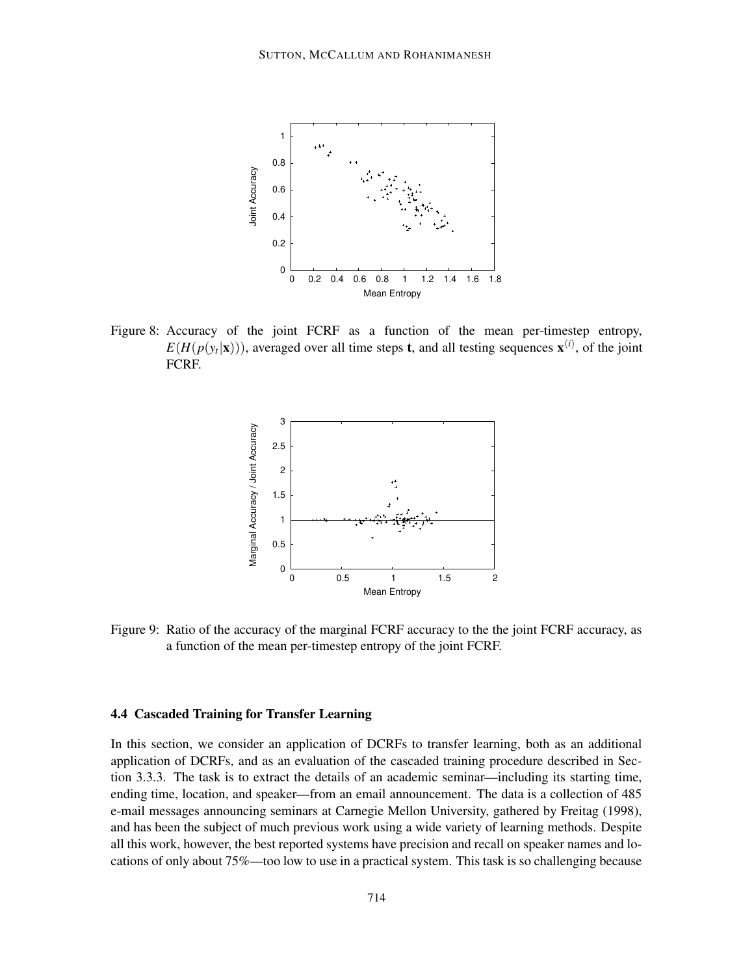

Figure 8: Accuracy of the joint FCRF as a function of the mean per-timestep entropy,  $E(H(p(y_t|\mathbf{x})))$ , averaged over all time steps **t**, and all testing sequences  $\mathbf{x}^{(i)}$ , of the joint FCRF.



Figure 9: Ratio of the accuracy of the marginal FCRF accuracy to the the joint FCRF accuracy, as a function of the mean per-timestep entropy of the joint FCRF.

#### **4.4 Cascaded Training for Transfer Learning**

In this section, we consider an application of DCRFs to transfer learning, both as an additional application of DCRFs, and as an evaluation of the cascaded training procedure described in Section 3.3.3. The task is to extract the details of an academic seminar—including its starting time, ending time, location, and speaker—from an email announcement. The data is a collection of 485 e-mail messages announcing seminars at Carnegie Mellon University, gathered by Freitag (1998), and has been the subject of much previous work using a wide variety of learning methods. Despite all this work, however, the best reported systems have precision and recall on speaker names and locations of only about 75%—too low to use in a practical system. This task is so challenging because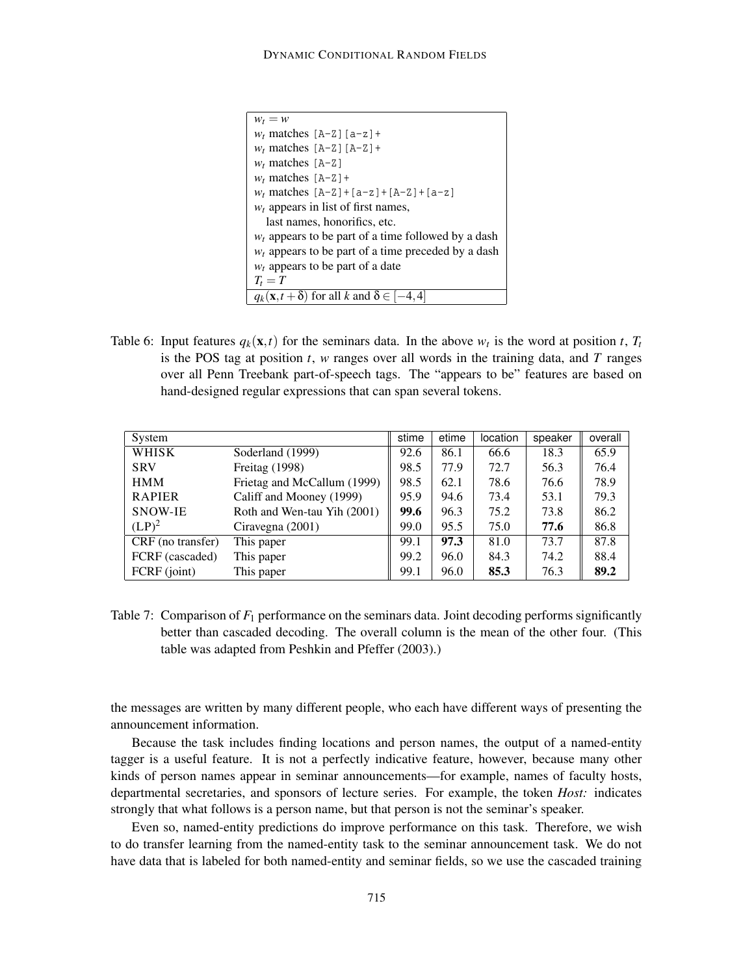| $w_t = w$                                                        |
|------------------------------------------------------------------|
| $w_t$ matches [A-Z] [a-z] +                                      |
| $w_t$ matches $[A-Z][A-Z]+$                                      |
| $w_t$ matches [A-Z]                                              |
| $w_t$ matches $[A-Z]+$                                           |
| $w_t$ matches $[A-Z]+[a-z]+[A-Z]+[a-z]$                          |
| $w_t$ appears in list of first names,                            |
| last names, honorifics, etc.                                     |
| $w_t$ appears to be part of a time followed by a dash            |
| $w_t$ appears to be part of a time preceded by a dash            |
| $w_t$ appears to be part of a date                               |
| $T_t = T$                                                        |
| $q_k(\mathbf{x}, t + \delta)$ for all k and $\delta \in [-4, 4]$ |

Table 6: Input features  $q_k(\mathbf{x},t)$  for the seminars data. In the above  $w_t$  is the word at position *t*,  $T_t$ is the POS tag at position *t*, *w* ranges over all words in the training data, and *T* ranges over all Penn Treebank part-of-speech tags. The "appears to be" features are based on hand-designed regular expressions that can span several tokens.

| System            |                             | stime | etime | location | speaker | overall |
|-------------------|-----------------------------|-------|-------|----------|---------|---------|
| WHISK             | Soderland (1999)            | 92.6  | 86.1  | 66.6     | 18.3    | 65.9    |
| <b>SRV</b>        | Freitag (1998)              | 98.5  | 77.9  | 72.7     | 56.3    | 76.4    |
| <b>HMM</b>        | Frietag and McCallum (1999) | 98.5  | 62.1  | 78.6     | 76.6    | 78.9    |
| <b>RAPIER</b>     | Califf and Mooney (1999)    | 95.9  | 94.6  | 73.4     | 53.1    | 79.3    |
| SNOW-IE           | Roth and Wen-tau Yih (2001) | 99.6  | 96.3  | 75.2     | 73.8    | 86.2    |
| $(LP)^2$          | Ciravegna (2001)            | 99.0  | 95.5  | 75.0     | 77.6    | 86.8    |
| CRF (no transfer) | This paper                  | 99.1  | 97.3  | 81.0     | 73.7    | 87.8    |
| FCRF (cascaded)   | This paper                  | 99.2  | 96.0  | 84.3     | 74.2    | 88.4    |
| FCRF (joint)      | This paper                  | 99.1  | 96.0  | 85.3     | 76.3    | 89.2    |

Table 7: Comparison of  $F_1$  performance on the seminars data. Joint decoding performs significantly better than cascaded decoding. The overall column is the mean of the other four. (This table was adapted from Peshkin and Pfeffer (2003).)

the messages are written by many different people, who each have different ways of presenting the announcement information.

Because the task includes finding locations and person names, the output of a named-entity tagger is a useful feature. It is not a perfectly indicative feature, however, because many other kinds of person names appear in seminar announcements—for example, names of faculty hosts, departmental secretaries, and sponsors of lecture series. For example, the token *Host:* indicates strongly that what follows is a person name, but that person is not the seminar's speaker.

Even so, named-entity predictions do improve performance on this task. Therefore, we wish to do transfer learning from the named-entity task to the seminar announcement task. We do not have data that is labeled for both named-entity and seminar fields, so we use the cascaded training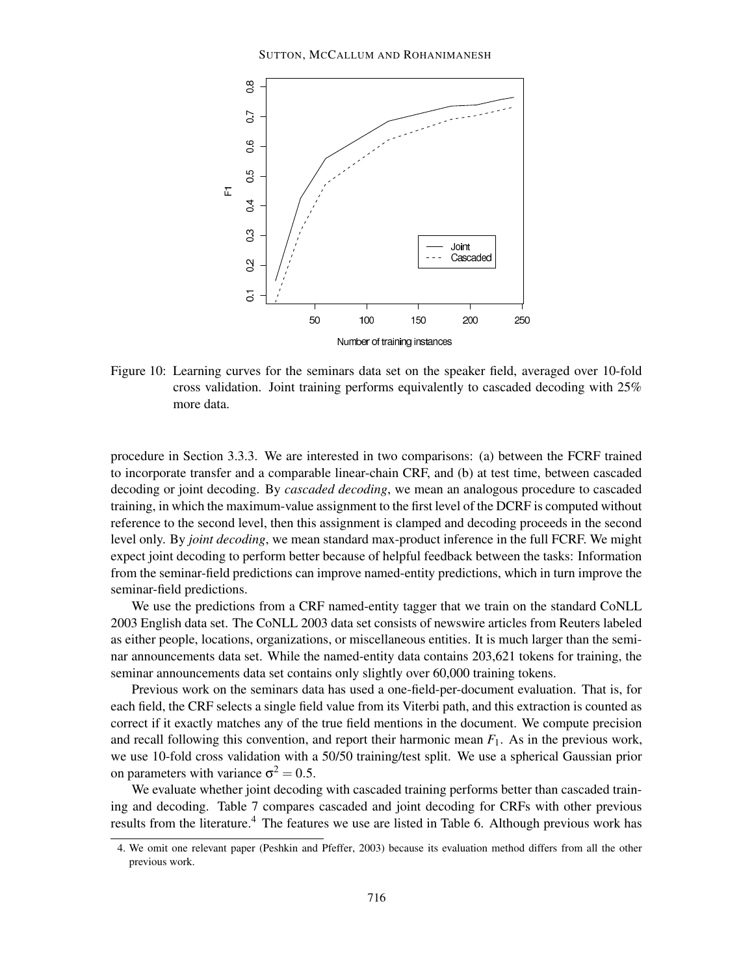

Figure 10: Learning curves for the seminars data set on the speaker field, averaged over 10-fold cross validation. Joint training performs equivalently to cascaded decoding with 25% more data.

procedure in Section 3.3.3. We are interested in two comparisons: (a) between the FCRF trained to incorporate transfer and a comparable linear-chain CRF, and (b) at test time, between cascaded decoding or joint decoding. By *cascaded decoding*, we mean an analogous procedure to cascaded training, in which the maximum-value assignment to the first level of the DCRF is computed without reference to the second level, then this assignment is clamped and decoding proceeds in the second level only. By *joint decoding*, we mean standard max-product inference in the full FCRF. We might expect joint decoding to perform better because of helpful feedback between the tasks: Information from the seminar-field predictions can improve named-entity predictions, which in turn improve the seminar-field predictions.

We use the predictions from a CRF named-entity tagger that we train on the standard CoNLL 2003 English data set. The CoNLL 2003 data set consists of newswire articles from Reuters labeled as either people, locations, organizations, or miscellaneous entities. It is much larger than the seminar announcements data set. While the named-entity data contains 203,621 tokens for training, the seminar announcements data set contains only slightly over 60,000 training tokens.

Previous work on the seminars data has used a one-field-per-document evaluation. That is, for each field, the CRF selects a single field value from its Viterbi path, and this extraction is counted as correct if it exactly matches any of the true field mentions in the document. We compute precision and recall following this convention, and report their harmonic mean *F*1. As in the previous work, we use 10-fold cross validation with a 50/50 training/test split. We use a spherical Gaussian prior on parameters with variance  $\sigma^2 = 0.5$ .

We evaluate whether joint decoding with cascaded training performs better than cascaded training and decoding. Table 7 compares cascaded and joint decoding for CRFs with other previous results from the literature.<sup>4</sup> The features we use are listed in Table 6. Although previous work has

<sup>4.</sup> We omit one relevant paper (Peshkin and Pfeffer, 2003) because its evaluation method differs from all the other previous work.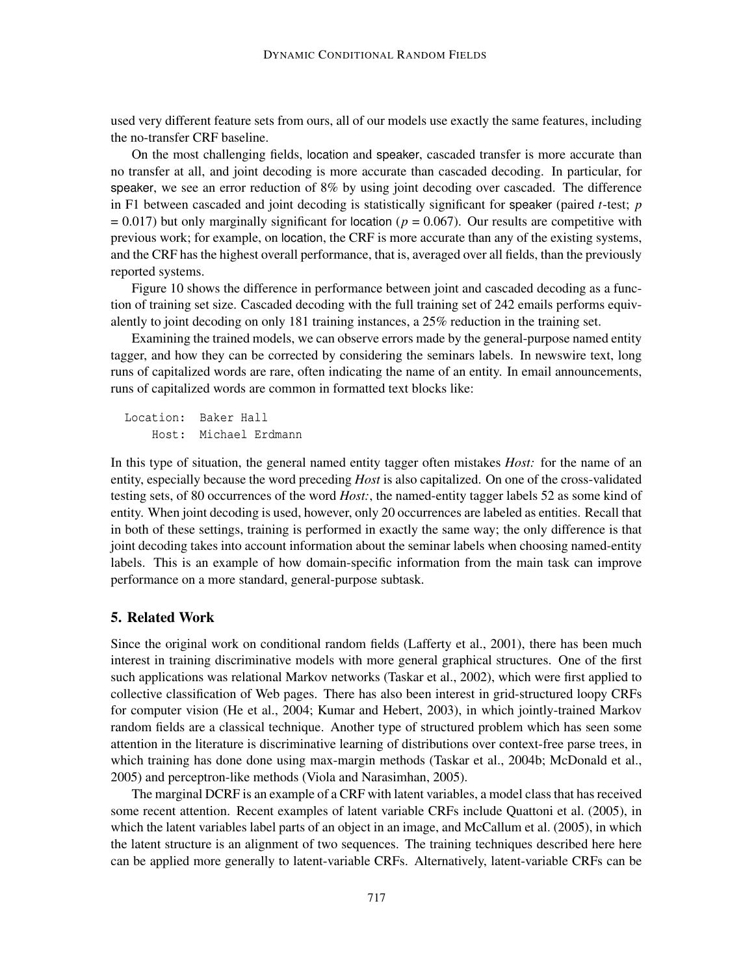used very different feature sets from ours, all of our models use exactly the same features, including the no-transfer CRF baseline.

On the most challenging fields, location and speaker, cascaded transfer is more accurate than no transfer at all, and joint decoding is more accurate than cascaded decoding. In particular, for speaker, we see an error reduction of 8% by using joint decoding over cascaded. The difference in F1 between cascaded and joint decoding is statistically significant for speaker (paired *t*-test; *p*  $= 0.017$ ) but only marginally significant for location ( $p = 0.067$ ). Our results are competitive with previous work; for example, on location, the CRF is more accurate than any of the existing systems, and the CRF has the highest overall performance, that is, averaged over all fields, than the previously reported systems.

Figure 10 shows the difference in performance between joint and cascaded decoding as a function of training set size. Cascaded decoding with the full training set of 242 emails performs equivalently to joint decoding on only 181 training instances, a 25% reduction in the training set.

Examining the trained models, we can observe errors made by the general-purpose named entity tagger, and how they can be corrected by considering the seminars labels. In newswire text, long runs of capitalized words are rare, often indicating the name of an entity. In email announcements, runs of capitalized words are common in formatted text blocks like:

Location: Baker Hall Host: Michael Erdmann

In this type of situation, the general named entity tagger often mistakes *Host:* for the name of an entity, especially because the word preceding *Host* is also capitalized. On one of the cross-validated testing sets, of 80 occurrences of the word *Host:*, the named-entity tagger labels 52 as some kind of entity. When joint decoding is used, however, only 20 occurrences are labeled as entities. Recall that in both of these settings, training is performed in exactly the same way; the only difference is that joint decoding takes into account information about the seminar labels when choosing named-entity labels. This is an example of how domain-specific information from the main task can improve performance on a more standard, general-purpose subtask.

# **5. Related Work**

Since the original work on conditional random fields (Lafferty et al., 2001), there has been much interest in training discriminative models with more general graphical structures. One of the first such applications was relational Markov networks (Taskar et al., 2002), which were first applied to collective classification of Web pages. There has also been interest in grid-structured loopy CRFs for computer vision (He et al., 2004; Kumar and Hebert, 2003), in which jointly-trained Markov random fields are a classical technique. Another type of structured problem which has seen some attention in the literature is discriminative learning of distributions over context-free parse trees, in which training has done done using max-margin methods (Taskar et al., 2004b; McDonald et al., 2005) and perceptron-like methods (Viola and Narasimhan, 2005).

The marginal DCRF is an example of a CRF with latent variables, a model class that has received some recent attention. Recent examples of latent variable CRFs include Quattoni et al. (2005), in which the latent variables label parts of an object in an image, and McCallum et al. (2005), in which the latent structure is an alignment of two sequences. The training techniques described here here can be applied more generally to latent-variable CRFs. Alternatively, latent-variable CRFs can be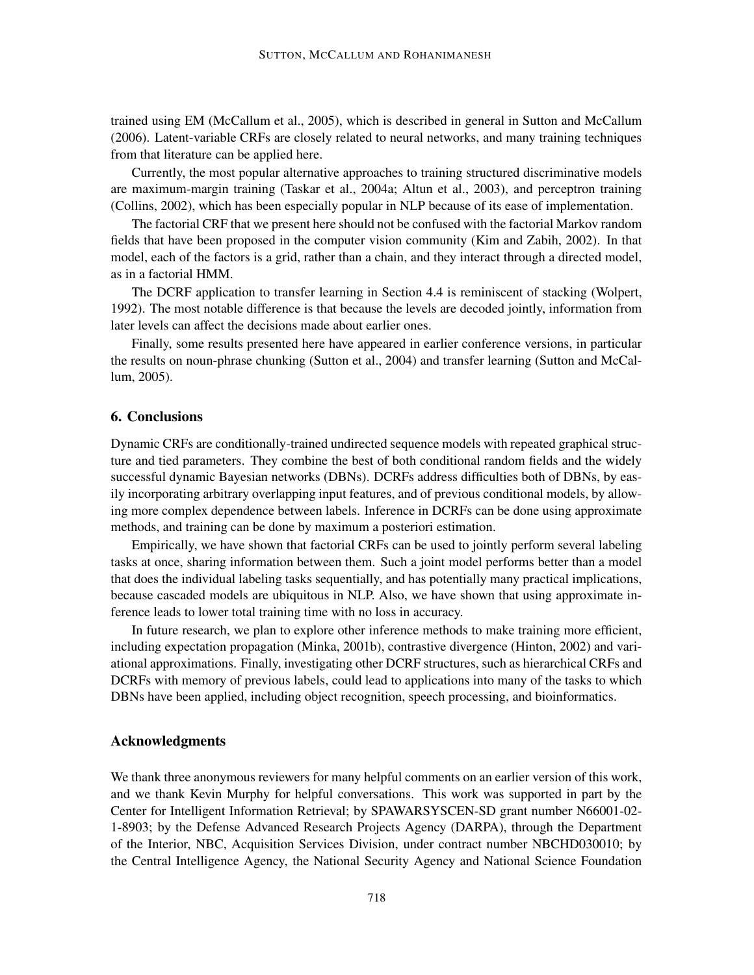trained using EM (McCallum et al., 2005), which is described in general in Sutton and McCallum (2006). Latent-variable CRFs are closely related to neural networks, and many training techniques from that literature can be applied here.

Currently, the most popular alternative approaches to training structured discriminative models are maximum-margin training (Taskar et al., 2004a; Altun et al., 2003), and perceptron training (Collins, 2002), which has been especially popular in NLP because of its ease of implementation.

The factorial CRF that we present here should not be confused with the factorial Markov random fields that have been proposed in the computer vision community (Kim and Zabih, 2002). In that model, each of the factors is a grid, rather than a chain, and they interact through a directed model, as in a factorial HMM.

The DCRF application to transfer learning in Section 4.4 is reminiscent of stacking (Wolpert, 1992). The most notable difference is that because the levels are decoded jointly, information from later levels can affect the decisions made about earlier ones.

Finally, some results presented here have appeared in earlier conference versions, in particular the results on noun-phrase chunking (Sutton et al., 2004) and transfer learning (Sutton and McCallum, 2005).

## **6. Conclusions**

Dynamic CRFs are conditionally-trained undirected sequence models with repeated graphical structure and tied parameters. They combine the best of both conditional random fields and the widely successful dynamic Bayesian networks (DBNs). DCRFs address difficulties both of DBNs, by easily incorporating arbitrary overlapping input features, and of previous conditional models, by allowing more complex dependence between labels. Inference in DCRFs can be done using approximate methods, and training can be done by maximum a posteriori estimation.

Empirically, we have shown that factorial CRFs can be used to jointly perform several labeling tasks at once, sharing information between them. Such a joint model performs better than a model that does the individual labeling tasks sequentially, and has potentially many practical implications, because cascaded models are ubiquitous in NLP. Also, we have shown that using approximate inference leads to lower total training time with no loss in accuracy.

In future research, we plan to explore other inference methods to make training more efficient, including expectation propagation (Minka, 2001b), contrastive divergence (Hinton, 2002) and variational approximations. Finally, investigating other DCRF structures, such as hierarchical CRFs and DCRFs with memory of previous labels, could lead to applications into many of the tasks to which DBNs have been applied, including object recognition, speech processing, and bioinformatics.

# **Acknowledgments**

We thank three anonymous reviewers for many helpful comments on an earlier version of this work, and we thank Kevin Murphy for helpful conversations. This work was supported in part by the Center for Intelligent Information Retrieval; by SPAWARSYSCEN-SD grant number N66001-02- 1-8903; by the Defense Advanced Research Projects Agency (DARPA), through the Department of the Interior, NBC, Acquisition Services Division, under contract number NBCHD030010; by the Central Intelligence Agency, the National Security Agency and National Science Foundation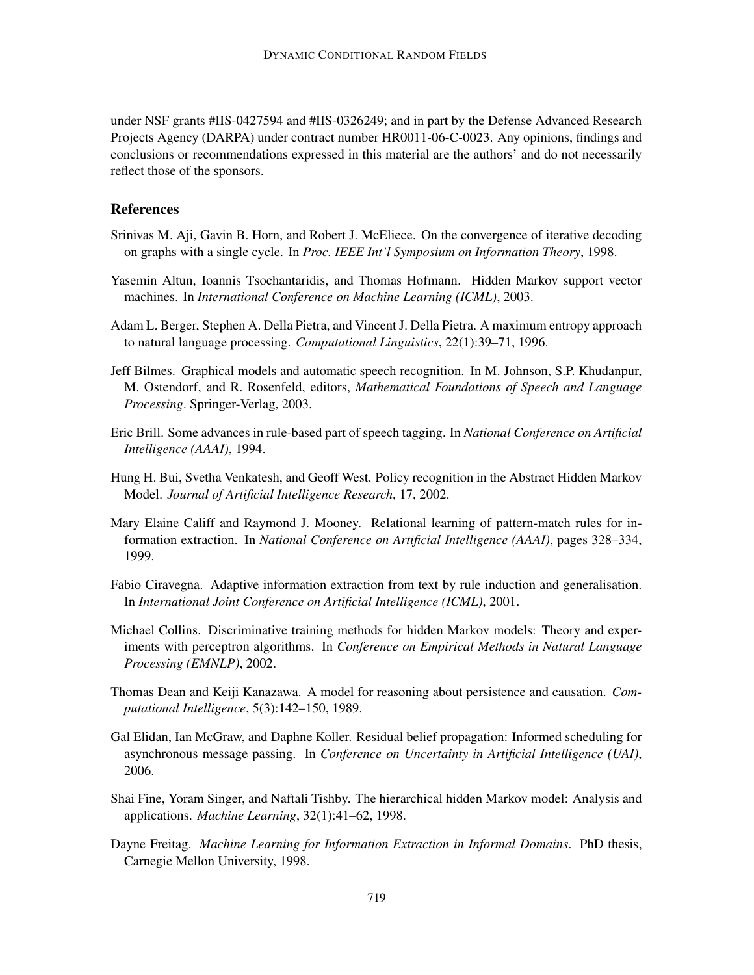under NSF grants #IIS-0427594 and #IIS-0326249; and in part by the Defense Advanced Research Projects Agency (DARPA) under contract number HR0011-06-C-0023. Any opinions, findings and conclusions or recommendations expressed in this material are the authors' and do not necessarily reflect those of the sponsors.

# **References**

- Srinivas M. Aji, Gavin B. Horn, and Robert J. McEliece. On the convergence of iterative decoding on graphs with a single cycle. In *Proc. IEEE Int'l Symposium on Information Theory*, 1998.
- Yasemin Altun, Ioannis Tsochantaridis, and Thomas Hofmann. Hidden Markov support vector machines. In *International Conference on Machine Learning (ICML)*, 2003.
- Adam L. Berger, Stephen A. Della Pietra, and Vincent J. Della Pietra. A maximum entropy approach to natural language processing. *Computational Linguistics*, 22(1):39–71, 1996.
- Jeff Bilmes. Graphical models and automatic speech recognition. In M. Johnson, S.P. Khudanpur, M. Ostendorf, and R. Rosenfeld, editors, *Mathematical Foundations of Speech and Language Processing*. Springer-Verlag, 2003.
- Eric Brill. Some advances in rule-based part of speech tagging. In *National Conference on Artificial Intelligence (AAAI)*, 1994.
- Hung H. Bui, Svetha Venkatesh, and Geoff West. Policy recognition in the Abstract Hidden Markov Model. *Journal of Artificial Intelligence Research*, 17, 2002.
- Mary Elaine Califf and Raymond J. Mooney. Relational learning of pattern-match rules for information extraction. In *National Conference on Artificial Intelligence (AAAI)*, pages 328–334, 1999.
- Fabio Ciravegna. Adaptive information extraction from text by rule induction and generalisation. In *International Joint Conference on Artificial Intelligence (ICML)*, 2001.
- Michael Collins. Discriminative training methods for hidden Markov models: Theory and experiments with perceptron algorithms. In *Conference on Empirical Methods in Natural Language Processing (EMNLP)*, 2002.
- Thomas Dean and Keiji Kanazawa. A model for reasoning about persistence and causation. *Computational Intelligence*, 5(3):142–150, 1989.
- Gal Elidan, Ian McGraw, and Daphne Koller. Residual belief propagation: Informed scheduling for asynchronous message passing. In *Conference on Uncertainty in Artificial Intelligence (UAI)*, 2006.
- Shai Fine, Yoram Singer, and Naftali Tishby. The hierarchical hidden Markov model: Analysis and applications. *Machine Learning*, 32(1):41–62, 1998.
- Dayne Freitag. *Machine Learning for Information Extraction in Informal Domains*. PhD thesis, Carnegie Mellon University, 1998.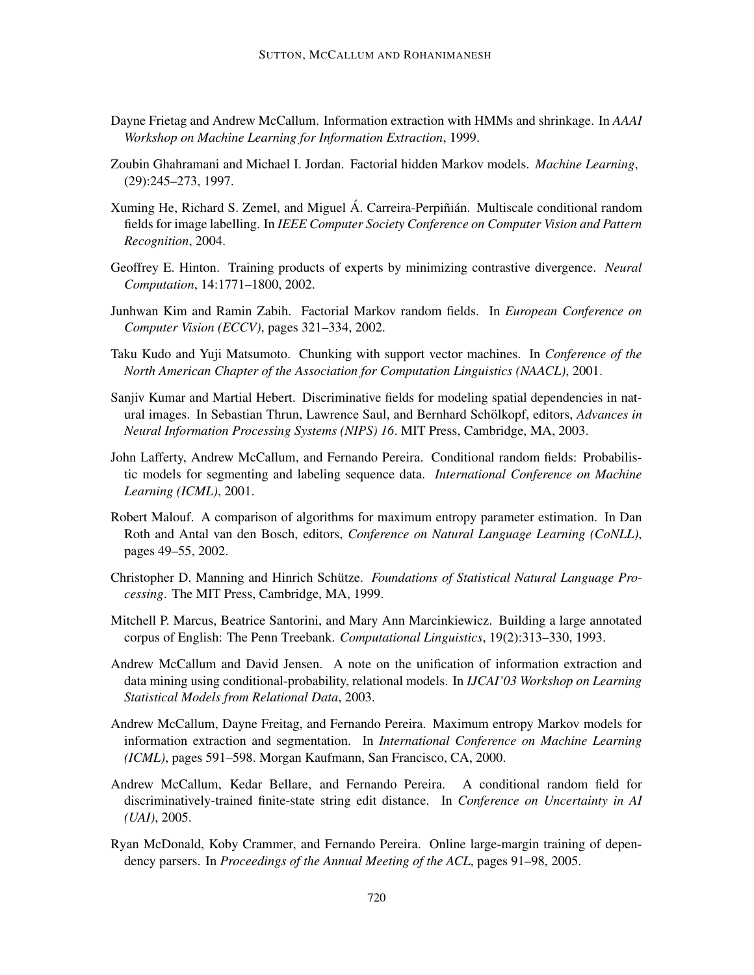- Dayne Frietag and Andrew McCallum. Information extraction with HMMs and shrinkage. In *AAAI Workshop on Machine Learning for Information Extraction*, 1999.
- Zoubin Ghahramani and Michael I. Jordan. Factorial hidden Markov models. *Machine Learning*, (29):245–273, 1997.
- Xuming He, Richard S. Zemel, and Miguel Á. Carreira-Perpinian. Multiscale conditional random fields for image labelling. In *IEEE Computer Society Conference on Computer Vision and Pattern Recognition*, 2004.
- Geoffrey E. Hinton. Training products of experts by minimizing contrastive divergence. *Neural Computation*, 14:1771–1800, 2002.
- Junhwan Kim and Ramin Zabih. Factorial Markov random fields. In *European Conference on Computer Vision (ECCV)*, pages 321–334, 2002.
- Taku Kudo and Yuji Matsumoto. Chunking with support vector machines. In *Conference of the North American Chapter of the Association for Computation Linguistics (NAACL)*, 2001.
- Sanjiv Kumar and Martial Hebert. Discriminative fields for modeling spatial dependencies in natural images. In Sebastian Thrun, Lawrence Saul, and Bernhard Schölkopf, editors, *Advances in Neural Information Processing Systems (NIPS) 16*. MIT Press, Cambridge, MA, 2003.
- John Lafferty, Andrew McCallum, and Fernando Pereira. Conditional random fields: Probabilistic models for segmenting and labeling sequence data. *International Conference on Machine Learning (ICML)*, 2001.
- Robert Malouf. A comparison of algorithms for maximum entropy parameter estimation. In Dan Roth and Antal van den Bosch, editors, *Conference on Natural Language Learning (CoNLL)*, pages 49–55, 2002.
- Christopher D. Manning and Hinrich Schütze. *Foundations of Statistical Natural Language Processing*. The MIT Press, Cambridge, MA, 1999.
- Mitchell P. Marcus, Beatrice Santorini, and Mary Ann Marcinkiewicz. Building a large annotated corpus of English: The Penn Treebank. *Computational Linguistics*, 19(2):313–330, 1993.
- Andrew McCallum and David Jensen. A note on the unification of information extraction and data mining using conditional-probability, relational models. In *IJCAI'03 Workshop on Learning Statistical Models from Relational Data*, 2003.
- Andrew McCallum, Dayne Freitag, and Fernando Pereira. Maximum entropy Markov models for information extraction and segmentation. In *International Conference on Machine Learning (ICML)*, pages 591–598. Morgan Kaufmann, San Francisco, CA, 2000.
- Andrew McCallum, Kedar Bellare, and Fernando Pereira. A conditional random field for discriminatively-trained finite-state string edit distance. In *Conference on Uncertainty in AI (UAI)*, 2005.
- Ryan McDonald, Koby Crammer, and Fernando Pereira. Online large-margin training of dependency parsers. In *Proceedings of the Annual Meeting of the ACL*, pages 91–98, 2005.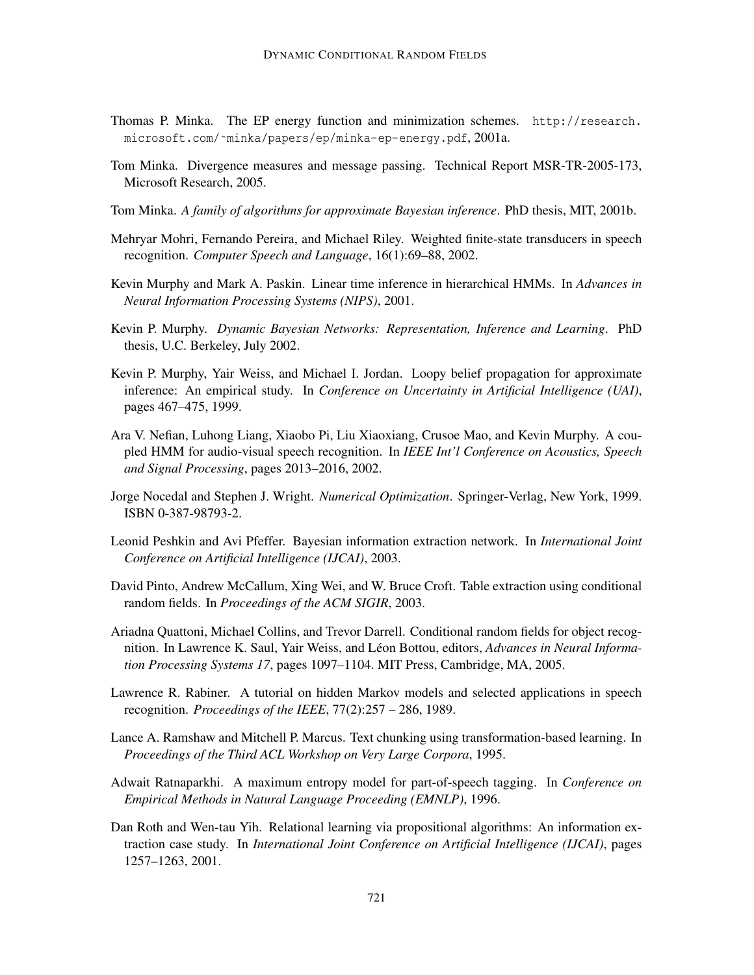- Thomas P. Minka. The EP energy function and minimization schemes. http://research. microsoft.com/˜minka/papers/ep/minka-ep-energy.pdf, 2001a.
- Tom Minka. Divergence measures and message passing. Technical Report MSR-TR-2005-173, Microsoft Research, 2005.
- Tom Minka. *A family of algorithms for approximate Bayesian inference*. PhD thesis, MIT, 2001b.
- Mehryar Mohri, Fernando Pereira, and Michael Riley. Weighted finite-state transducers in speech recognition. *Computer Speech and Language*, 16(1):69–88, 2002.
- Kevin Murphy and Mark A. Paskin. Linear time inference in hierarchical HMMs. In *Advances in Neural Information Processing Systems (NIPS)*, 2001.
- Kevin P. Murphy. *Dynamic Bayesian Networks: Representation, Inference and Learning*. PhD thesis, U.C. Berkeley, July 2002.
- Kevin P. Murphy, Yair Weiss, and Michael I. Jordan. Loopy belief propagation for approximate inference: An empirical study. In *Conference on Uncertainty in Artificial Intelligence (UAI)*, pages 467–475, 1999.
- Ara V. Nefian, Luhong Liang, Xiaobo Pi, Liu Xiaoxiang, Crusoe Mao, and Kevin Murphy. A coupled HMM for audio-visual speech recognition. In *IEEE Int'l Conference on Acoustics, Speech and Signal Processing*, pages 2013–2016, 2002.
- Jorge Nocedal and Stephen J. Wright. *Numerical Optimization*. Springer-Verlag, New York, 1999. ISBN 0-387-98793-2.
- Leonid Peshkin and Avi Pfeffer. Bayesian information extraction network. In *International Joint Conference on Artificial Intelligence (IJCAI)*, 2003.
- David Pinto, Andrew McCallum, Xing Wei, and W. Bruce Croft. Table extraction using conditional random fields. In *Proceedings of the ACM SIGIR*, 2003.
- Ariadna Quattoni, Michael Collins, and Trevor Darrell. Conditional random fields for object recognition. In Lawrence K. Saul, Yair Weiss, and Léon Bottou, editors, *Advances in Neural Information Processing Systems 17*, pages 1097–1104. MIT Press, Cambridge, MA, 2005.
- Lawrence R. Rabiner. A tutorial on hidden Markov models and selected applications in speech recognition. *Proceedings of the IEEE*, 77(2):257 – 286, 1989.
- Lance A. Ramshaw and Mitchell P. Marcus. Text chunking using transformation-based learning. In *Proceedings of the Third ACL Workshop on Very Large Corpora*, 1995.
- Adwait Ratnaparkhi. A maximum entropy model for part-of-speech tagging. In *Conference on Empirical Methods in Natural Language Proceeding (EMNLP)*, 1996.
- Dan Roth and Wen-tau Yih. Relational learning via propositional algorithms: An information extraction case study. In *International Joint Conference on Artificial Intelligence (IJCAI)*, pages 1257–1263, 2001.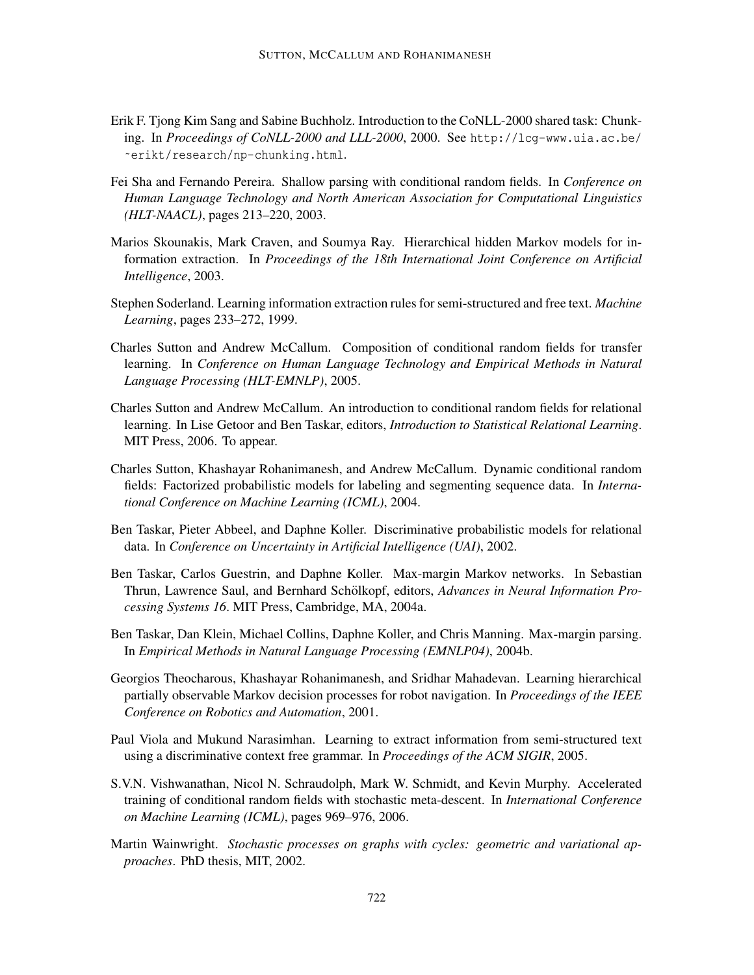- Erik F. Tjong Kim Sang and Sabine Buchholz. Introduction to the CoNLL-2000 shared task: Chunking. In *Proceedings of CoNLL-2000 and LLL-2000*, 2000. See http://lcg-www.uia.ac.be/ ˜erikt/research/np-chunking.html.
- Fei Sha and Fernando Pereira. Shallow parsing with conditional random fields. In *Conference on Human Language Technology and North American Association for Computational Linguistics (HLT-NAACL)*, pages 213–220, 2003.
- Marios Skounakis, Mark Craven, and Soumya Ray. Hierarchical hidden Markov models for information extraction. In *Proceedings of the 18th International Joint Conference on Artificial Intelligence*, 2003.
- Stephen Soderland. Learning information extraction rules for semi-structured and free text. *Machine Learning*, pages 233–272, 1999.
- Charles Sutton and Andrew McCallum. Composition of conditional random fields for transfer learning. In *Conference on Human Language Technology and Empirical Methods in Natural Language Processing (HLT-EMNLP)*, 2005.
- Charles Sutton and Andrew McCallum. An introduction to conditional random fields for relational learning. In Lise Getoor and Ben Taskar, editors, *Introduction to Statistical Relational Learning*. MIT Press, 2006. To appear.
- Charles Sutton, Khashayar Rohanimanesh, and Andrew McCallum. Dynamic conditional random fields: Factorized probabilistic models for labeling and segmenting sequence data. In *International Conference on Machine Learning (ICML)*, 2004.
- Ben Taskar, Pieter Abbeel, and Daphne Koller. Discriminative probabilistic models for relational data. In *Conference on Uncertainty in Artificial Intelligence (UAI)*, 2002.
- Ben Taskar, Carlos Guestrin, and Daphne Koller. Max-margin Markov networks. In Sebastian Thrun, Lawrence Saul, and Bernhard Schölkopf, editors, *Advances in Neural Information Processing Systems 16*. MIT Press, Cambridge, MA, 2004a.
- Ben Taskar, Dan Klein, Michael Collins, Daphne Koller, and Chris Manning. Max-margin parsing. In *Empirical Methods in Natural Language Processing (EMNLP04)*, 2004b.
- Georgios Theocharous, Khashayar Rohanimanesh, and Sridhar Mahadevan. Learning hierarchical partially observable Markov decision processes for robot navigation. In *Proceedings of the IEEE Conference on Robotics and Automation*, 2001.
- Paul Viola and Mukund Narasimhan. Learning to extract information from semi-structured text using a discriminative context free grammar. In *Proceedings of the ACM SIGIR*, 2005.
- S.V.N. Vishwanathan, Nicol N. Schraudolph, Mark W. Schmidt, and Kevin Murphy. Accelerated training of conditional random fields with stochastic meta-descent. In *International Conference on Machine Learning (ICML)*, pages 969–976, 2006.
- Martin Wainwright. *Stochastic processes on graphs with cycles: geometric and variational approaches*. PhD thesis, MIT, 2002.